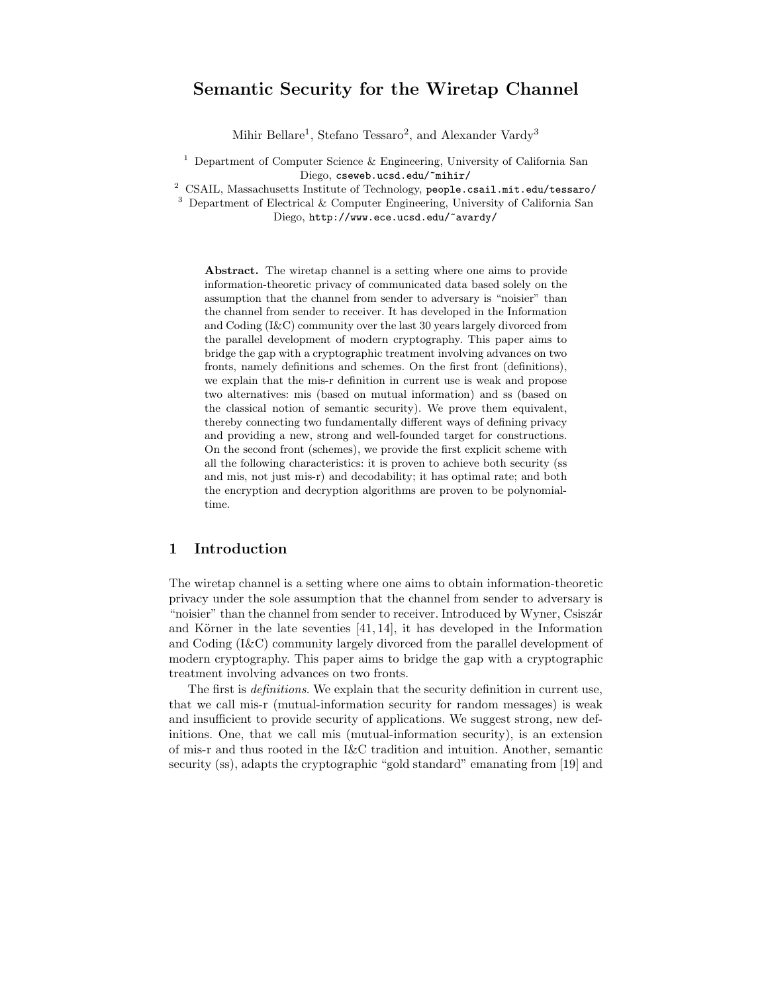# Semantic Security for the Wiretap Channel

Mihir Bellare<sup>1</sup>, Stefano Tessaro<sup>2</sup>, and Alexander Vardy<sup>3</sup>

 $^1$  Department of Computer Science  $\&$  Engineering, University of California San Diego, cseweb.ucsd.edu/~mihir/

<sup>2</sup> CSAIL, Massachusetts Institute of Technology, people.csail.mit.edu/tessaro/

<sup>3</sup> Department of Electrical & Computer Engineering, University of California San Diego, http://www.ece.ucsd.edu/~avardy/

Abstract. The wiretap channel is a setting where one aims to provide information-theoretic privacy of communicated data based solely on the assumption that the channel from sender to adversary is "noisier" than the channel from sender to receiver. It has developed in the Information and Coding (I&C) community over the last 30 years largely divorced from the parallel development of modern cryptography. This paper aims to bridge the gap with a cryptographic treatment involving advances on two fronts, namely definitions and schemes. On the first front (definitions), we explain that the mis-r definition in current use is weak and propose two alternatives: mis (based on mutual information) and ss (based on the classical notion of semantic security). We prove them equivalent, thereby connecting two fundamentally different ways of defining privacy and providing a new, strong and well-founded target for constructions. On the second front (schemes), we provide the first explicit scheme with all the following characteristics: it is proven to achieve both security (ss and mis, not just mis-r) and decodability; it has optimal rate; and both the encryption and decryption algorithms are proven to be polynomialtime.

#### 1 Introduction

The wiretap channel is a setting where one aims to obtain information-theoretic privacy under the sole assumption that the channel from sender to adversary is "noisier" than the channel from sender to receiver. Introduced by Wyner, Csiszár and Körner in the late seventies  $[41, 14]$ , it has developed in the Information and Coding (I&C) community largely divorced from the parallel development of modern cryptography. This paper aims to bridge the gap with a cryptographic treatment involving advances on two fronts.

The first is definitions. We explain that the security definition in current use, that we call mis-r (mutual-information security for random messages) is weak and insufficient to provide security of applications. We suggest strong, new definitions. One, that we call mis (mutual-information security), is an extension of mis-r and thus rooted in the I&C tradition and intuition. Another, semantic security (ss), adapts the cryptographic "gold standard" emanating from [19] and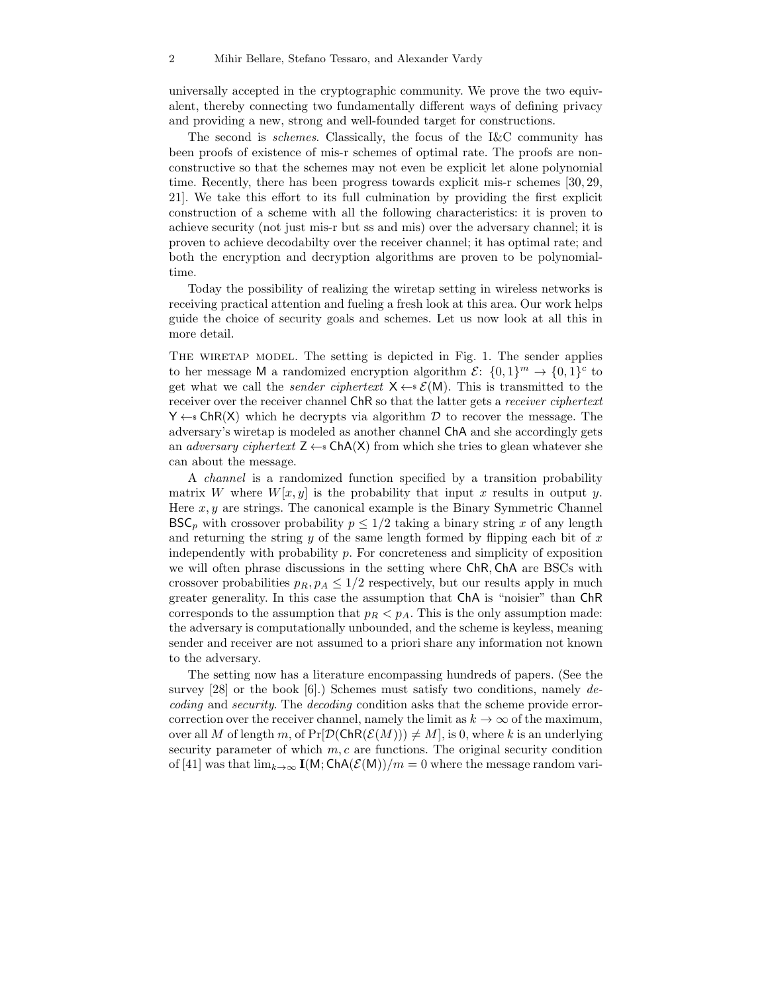universally accepted in the cryptographic community. We prove the two equivalent, thereby connecting two fundamentally different ways of defining privacy and providing a new, strong and well-founded target for constructions.

The second is schemes. Classically, the focus of the I&C community has been proofs of existence of mis-r schemes of optimal rate. The proofs are nonconstructive so that the schemes may not even be explicit let alone polynomial time. Recently, there has been progress towards explicit mis-r schemes [30, 29, 21]. We take this effort to its full culmination by providing the first explicit construction of a scheme with all the following characteristics: it is proven to achieve security (not just mis-r but ss and mis) over the adversary channel; it is proven to achieve decodabilty over the receiver channel; it has optimal rate; and both the encryption and decryption algorithms are proven to be polynomialtime.

Today the possibility of realizing the wiretap setting in wireless networks is receiving practical attention and fueling a fresh look at this area. Our work helps guide the choice of security goals and schemes. Let us now look at all this in more detail.

The wiretap model. The setting is depicted in Fig. 1. The sender applies to her message M a randomized encryption algorithm  $\mathcal{E}$ :  $\{0,1\}^m \to \{0,1\}^c$  to get what we call the *sender ciphertext*  $X \leftarrow s \mathcal{E}(M)$ . This is transmitted to the receiver over the receiver channel ChR so that the latter gets a receiver ciphertext  $Y \leftarrow s$  ChR(X) which he decrypts via algorithm D to recover the message. The adversary's wiretap is modeled as another channel ChA and she accordingly gets an *adversary ciphertext*  $Z \leftarrow$  ChA(X) from which she tries to glean whatever she can about the message.

A channel is a randomized function specified by a transition probability matrix W where  $W[x, y]$  is the probability that input x results in output y. Here  $x, y$  are strings. The canonical example is the Binary Symmetric Channel  $BSC_p$  with crossover probability  $p \leq 1/2$  taking a binary string x of any length and returning the string  $y$  of the same length formed by flipping each bit of  $x$ independently with probability  $p$ . For concreteness and simplicity of exposition we will often phrase discussions in the setting where ChR, ChA are BSCs with crossover probabilities  $p_R$ ,  $p_A \leq 1/2$  respectively, but our results apply in much greater generality. In this case the assumption that ChA is "noisier" than ChR corresponds to the assumption that  $p_R < p_A$ . This is the only assumption made: the adversary is computationally unbounded, and the scheme is keyless, meaning sender and receiver are not assumed to a priori share any information not known to the adversary.

The setting now has a literature encompassing hundreds of papers. (See the survey  $[28]$  or the book  $[6]$ .) Schemes must satisfy two conditions, namely decoding and security. The decoding condition asks that the scheme provide errorcorrection over the receiver channel, namely the limit as  $k \to \infty$  of the maximum, over all M of length m, of  $Pr[\mathcal{D}(\mathsf{ChR}(\mathcal{E}(M))) \neq M]$ , is 0, where k is an underlying security parameter of which  $m, c$  are functions. The original security condition of [41] was that  $\lim_{k\to\infty} I(M; ChA(\mathcal{E}(M))/m = 0$  where the message random vari-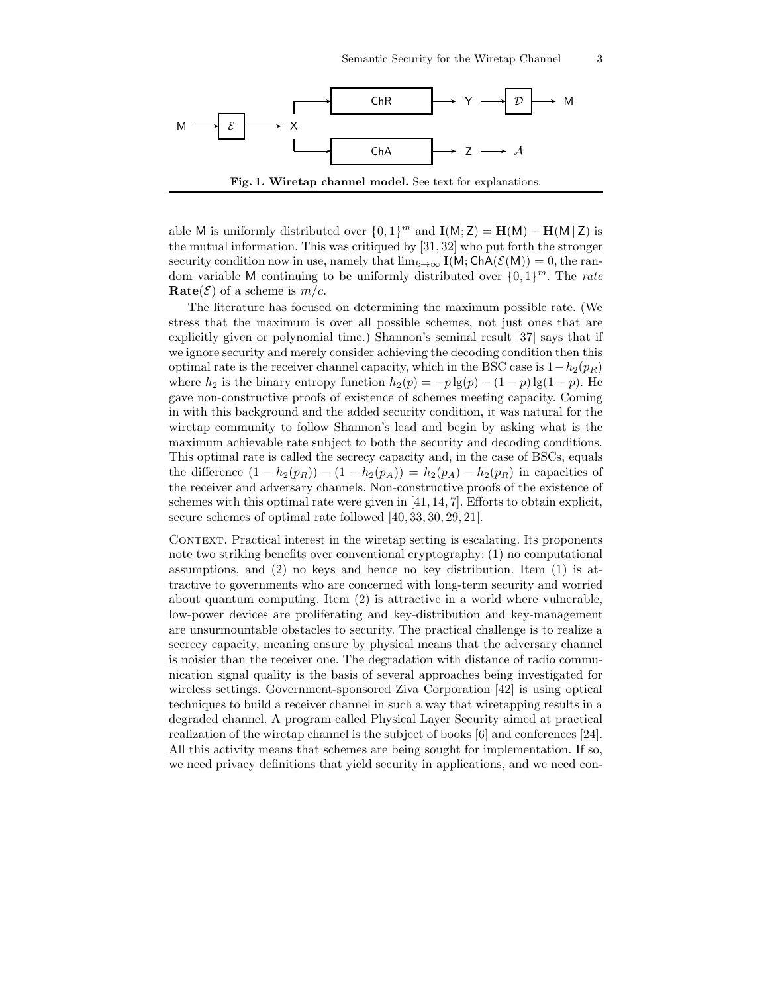

able M is uniformly distributed over  $\{0,1\}^m$  and  $\mathbf{I}(M; \mathbf{Z}) = \mathbf{H}(M) - \mathbf{H}(M | \mathbf{Z})$  is the mutual information. This was critiqued by [31, 32] who put forth the stronger security condition now in use, namely that  $\lim_{k\to\infty} I(M; ChA(\mathcal{E}(M)))=0$ , the random variable M continuing to be uniformly distributed over  $\{0,1\}^m$ . The *rate*  $\textbf{Rate}(\mathcal{E})$  of a scheme is  $m/c$ .

The literature has focused on determining the maximum possible rate. (We stress that the maximum is over all possible schemes, not just ones that are explicitly given or polynomial time.) Shannon's seminal result [37] says that if we ignore security and merely consider achieving the decoding condition then this optimal rate is the receiver channel capacity, which in the BSC case is  $1-h_2(p_R)$ where  $h_2$  is the binary entropy function  $h_2(p) = -p \lg(p) - (1-p) \lg(1-p)$ . He gave non-constructive proofs of existence of schemes meeting capacity. Coming in with this background and the added security condition, it was natural for the wiretap community to follow Shannon's lead and begin by asking what is the maximum achievable rate subject to both the security and decoding conditions. This optimal rate is called the secrecy capacity and, in the case of BSCs, equals the difference  $(1 - h_2(p_R)) - (1 - h_2(p_A)) = h_2(p_A) - h_2(p_R)$  in capacities of the receiver and adversary channels. Non-constructive proofs of the existence of schemes with this optimal rate were given in [41, 14, 7]. Efforts to obtain explicit, secure schemes of optimal rate followed [40, 33, 30, 29, 21].

CONTEXT. Practical interest in the wiretap setting is escalating. Its proponents note two striking benefits over conventional cryptography: (1) no computational assumptions, and  $(2)$  no keys and hence no key distribution. Item  $(1)$  is attractive to governments who are concerned with long-term security and worried about quantum computing. Item (2) is attractive in a world where vulnerable, low-power devices are proliferating and key-distribution and key-management are unsurmountable obstacles to security. The practical challenge is to realize a secrecy capacity, meaning ensure by physical means that the adversary channel is noisier than the receiver one. The degradation with distance of radio communication signal quality is the basis of several approaches being investigated for wireless settings. Government-sponsored Ziva Corporation [42] is using optical techniques to build a receiver channel in such a way that wiretapping results in a degraded channel. A program called Physical Layer Security aimed at practical realization of the wiretap channel is the subject of books [6] and conferences [24]. All this activity means that schemes are being sought for implementation. If so, we need privacy definitions that yield security in applications, and we need con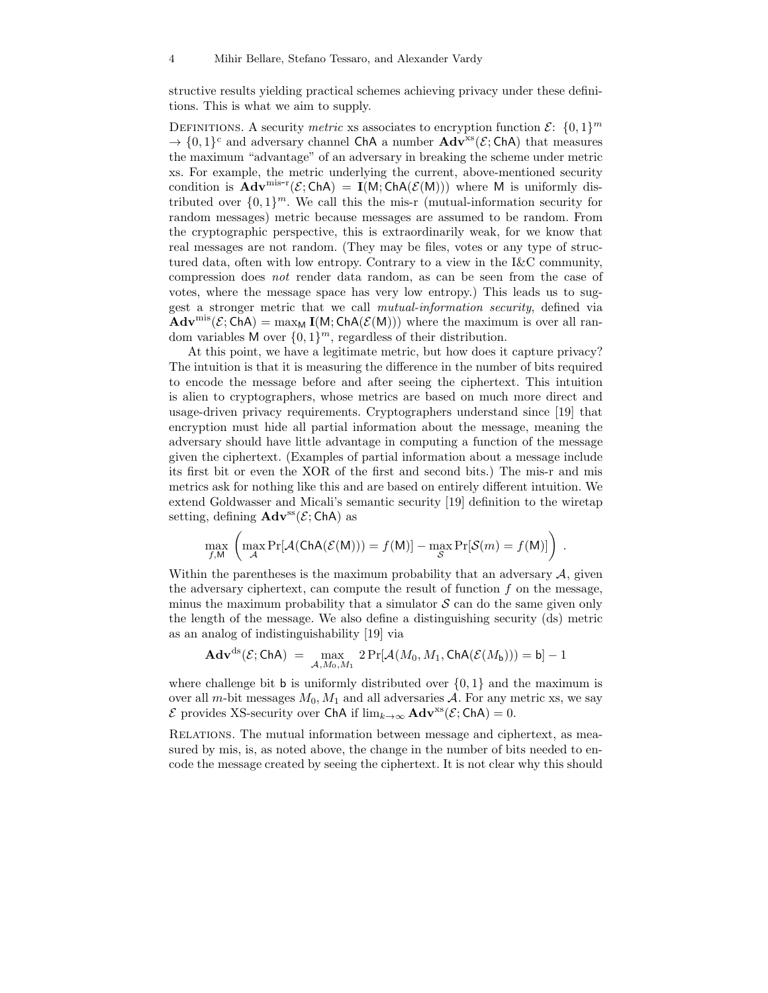structive results yielding practical schemes achieving privacy under these definitions. This is what we aim to supply.

DEFINITIONS. A security *metric* xs associates to encryption function  $\mathcal{E}$ :  $\{0,1\}^m$  $\rightarrow \{0,1\}^c$  and adversary channel ChA a number  $\text{Adv}^{xs}(\mathcal{E}; \text{ChA})$  that measures the maximum "advantage" of an adversary in breaking the scheme under metric xs. For example, the metric underlying the current, above-mentioned security condition is  $\text{Adv}^{\text{mis-r}}(\mathcal{E}; \text{ChA}) = \text{I}(M; \text{ChA}(\mathcal{E}(M)))$  where M is uniformly distributed over  $\{0,1\}^m$ . We call this the mis-r (mutual-information security for random messages) metric because messages are assumed to be random. From the cryptographic perspective, this is extraordinarily weak, for we know that real messages are not random. (They may be files, votes or any type of structured data, often with low entropy. Contrary to a view in the I&C community, compression does not render data random, as can be seen from the case of votes, where the message space has very low entropy.) This leads us to suggest a stronger metric that we call mutual-information security, defined via  $\mathbf{Adv}^{\text{mis}}(\mathcal{E};\mathsf{ChA}) = \max_{\mathsf{M}} \mathbf{I}(\mathsf{M};\mathsf{ChA}(\mathcal{E}(\mathsf{M})))$  where the maximum is over all random variables M over  $\{0,1\}^m$ , regardless of their distribution.

At this point, we have a legitimate metric, but how does it capture privacy? The intuition is that it is measuring the difference in the number of bits required to encode the message before and after seeing the ciphertext. This intuition is alien to cryptographers, whose metrics are based on much more direct and usage-driven privacy requirements. Cryptographers understand since [19] that encryption must hide all partial information about the message, meaning the adversary should have little advantage in computing a function of the message given the ciphertext. (Examples of partial information about a message include its first bit or even the XOR of the first and second bits.) The mis-r and mis metrics ask for nothing like this and are based on entirely different intuition. We extend Goldwasser and Micali's semantic security [19] definition to the wiretap setting, defining  $\mathbf{Adv}^{\text{ss}}(\mathcal{E}; \mathsf{ChA})$  as

$$
\max_{f,M} \left( \max_{\mathcal{A}} \Pr[\mathcal{A}(\mathsf{ChA}(\mathcal{E}(M))) = f(M)] - \max_{\mathcal{S}} \Pr[\mathcal{S}(m) = f(M)] \right) .
$$

Within the parentheses is the maximum probability that an adversary  $A$ , given the adversary ciphertext, can compute the result of function  $f$  on the message, minus the maximum probability that a simulator  $\mathcal S$  can do the same given only the length of the message. We also define a distinguishing security (ds) metric as an analog of indistinguishability [19] via

$$
\mathbf{Adv}^{\mathrm{ds}}(\mathcal{E};\mathsf{ChA}) = \max_{\mathcal{A},M_0,M_1} 2\Pr[\mathcal{A}(M_0,M_1,\mathsf{ChA}(\mathcal{E}(M_{\mathsf{b}}))) = \mathsf{b}] - 1
$$

where challenge bit **b** is uniformly distributed over  $\{0, 1\}$  and the maximum is over all m-bit messages  $M_0$ ,  $M_1$  and all adversaries A. For any metric xs, we say  $\mathcal E$  provides XS-security over ChA if lim<sub>k→∞</sub>  $\mathbf{Adv}^{xs}(\mathcal E; \mathsf{ChA}) = 0$ .

Relations. The mutual information between message and ciphertext, as measured by mis, is, as noted above, the change in the number of bits needed to encode the message created by seeing the ciphertext. It is not clear why this should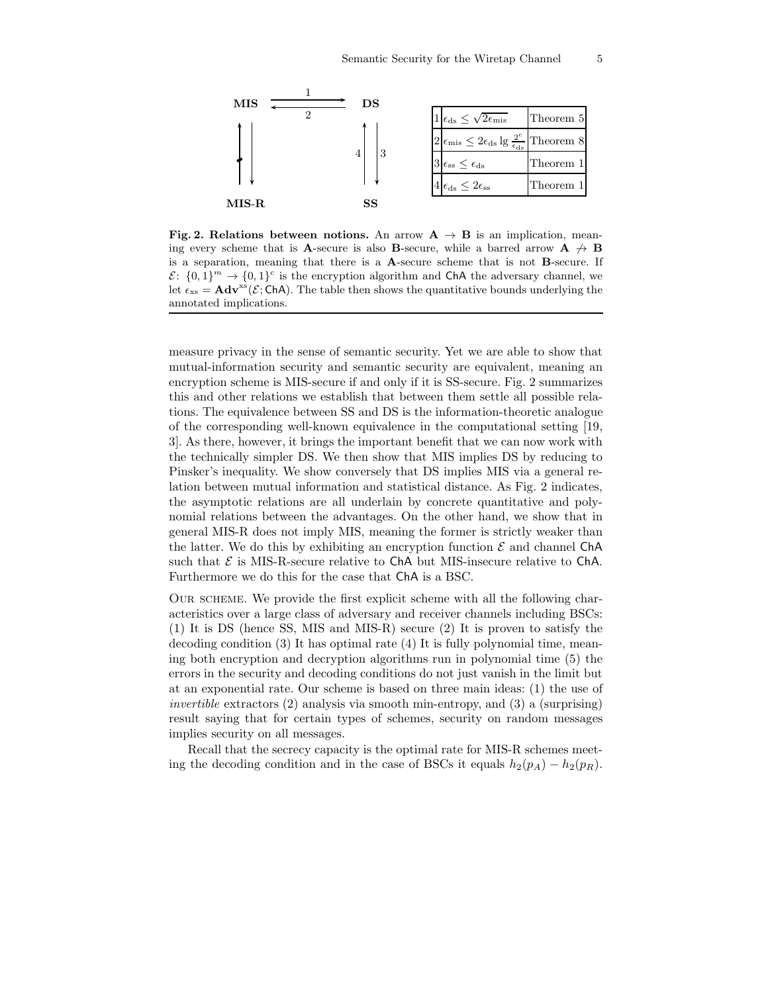

Fig. 2. Relations between notions. An arrow  $A \rightarrow B$  is an implication, meaning every scheme that is A-secure is also B-secure, while a barred arrow  $A \nrightarrow B$ is a separation, meaning that there is a A-secure scheme that is not B-secure. If  $\mathcal{E}: \{0,1\}^m \to \{0,1\}^c$  is the encryption algorithm and ChA the adversary channel, we let  $\epsilon_{xs} = \mathbf{Adv}^{xs}(\mathcal{E};\mathsf{ChA})$ . The table then shows the quantitative bounds underlying the annotated implications.

measure privacy in the sense of semantic security. Yet we are able to show that mutual-information security and semantic security are equivalent, meaning an encryption scheme is MIS-secure if and only if it is SS-secure. Fig. 2 summarizes this and other relations we establish that between them settle all possible relations. The equivalence between SS and DS is the information-theoretic analogue of the corresponding well-known equivalence in the computational setting [19, 3]. As there, however, it brings the important benefit that we can now work with the technically simpler DS. We then show that MIS implies DS by reducing to Pinsker's inequality. We show conversely that DS implies MIS via a general relation between mutual information and statistical distance. As Fig. 2 indicates, the asymptotic relations are all underlain by concrete quantitative and polynomial relations between the advantages. On the other hand, we show that in general MIS-R does not imply MIS, meaning the former is strictly weaker than the latter. We do this by exhibiting an encryption function  $\mathcal E$  and channel ChA such that  $\mathcal E$  is MIS-R-secure relative to ChA but MIS-insecure relative to ChA. Furthermore we do this for the case that ChA is a BSC.

Our scheme. We provide the first explicit scheme with all the following characteristics over a large class of adversary and receiver channels including BSCs: (1) It is DS (hence SS, MIS and MIS-R) secure (2) It is proven to satisfy the decoding condition (3) It has optimal rate (4) It is fully polynomial time, meaning both encryption and decryption algorithms run in polynomial time (5) the errors in the security and decoding conditions do not just vanish in the limit but at an exponential rate. Our scheme is based on three main ideas: (1) the use of invertible extractors (2) analysis via smooth min-entropy, and (3) a (surprising) result saying that for certain types of schemes, security on random messages implies security on all messages.

Recall that the secrecy capacity is the optimal rate for MIS-R schemes meeting the decoding condition and in the case of BSCs it equals  $h_2(p_A) - h_2(p_R)$ .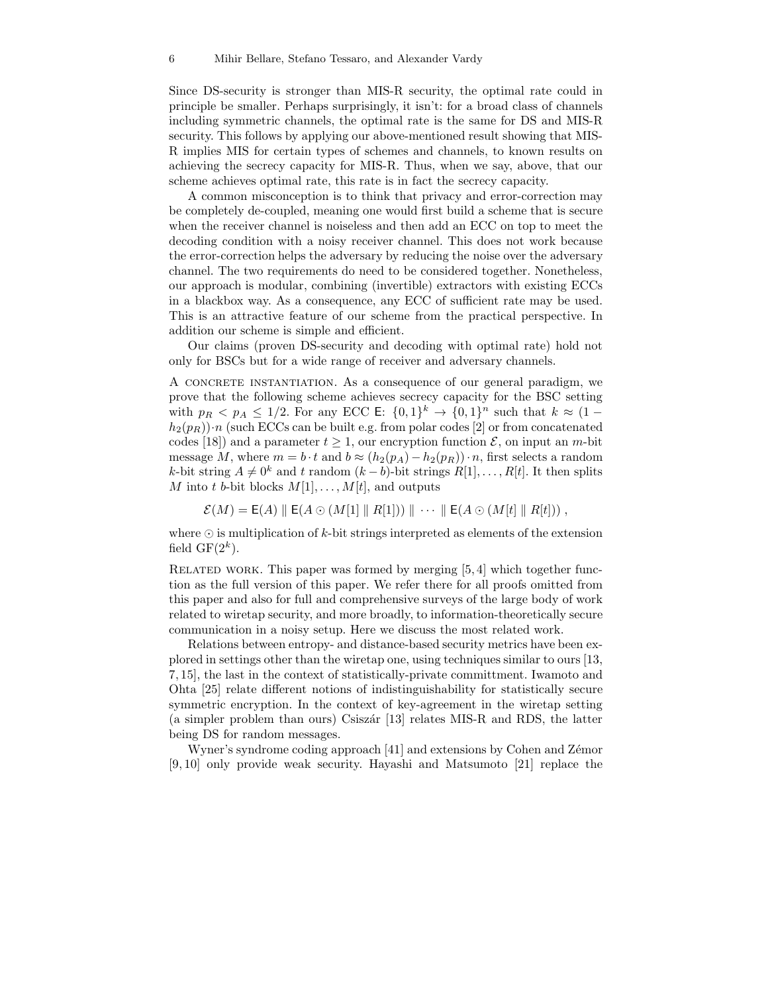Since DS-security is stronger than MIS-R security, the optimal rate could in principle be smaller. Perhaps surprisingly, it isn't: for a broad class of channels including symmetric channels, the optimal rate is the same for DS and MIS-R security. This follows by applying our above-mentioned result showing that MIS-R implies MIS for certain types of schemes and channels, to known results on achieving the secrecy capacity for MIS-R. Thus, when we say, above, that our scheme achieves optimal rate, this rate is in fact the secrecy capacity.

A common misconception is to think that privacy and error-correction may be completely de-coupled, meaning one would first build a scheme that is secure when the receiver channel is noiseless and then add an ECC on top to meet the decoding condition with a noisy receiver channel. This does not work because the error-correction helps the adversary by reducing the noise over the adversary channel. The two requirements do need to be considered together. Nonetheless, our approach is modular, combining (invertible) extractors with existing ECCs in a blackbox way. As a consequence, any ECC of sufficient rate may be used. This is an attractive feature of our scheme from the practical perspective. In addition our scheme is simple and efficient.

Our claims (proven DS-security and decoding with optimal rate) hold not only for BSCs but for a wide range of receiver and adversary channels.

A concrete instantiation. As a consequence of our general paradigm, we prove that the following scheme achieves secrecy capacity for the BSC setting with  $p_R < p_A \leq 1/2$ . For any ECC E:  $\{0,1\}^k \to \{0,1\}^n$  such that  $k \approx (1-\frac{1}{2})^k$  $h_2(p_R)$ )·n (such ECCs can be built e.g. from polar codes [2] or from concatenated codes [18]) and a parameter  $t \geq 1$ , our encryption function  $\mathcal{E}$ , on input an m-bit message M, where  $m = b \cdot t$  and  $b \approx (h_2(p_A) - h_2(p_B)) \cdot n$ , first selects a random k-bit string  $A \neq 0^k$  and t random  $(k - b)$ -bit strings  $R[1], \ldots, R[t]$ . It then splits M into t b-bit blocks  $M[1], \ldots, M[t]$ , and outputs

 $\mathcal{E}(M) = \mathsf{E}(A) \parallel \mathsf{E}(A \odot (M[1] \parallel R[1])) \parallel \cdots \parallel \mathsf{E}(A \odot (M[t] \parallel R[t]))$ ,

where  $\odot$  is multiplication of k-bit strings interpreted as elements of the extension field  $GF(2^k)$ .

RELATED WORK. This paper was formed by merging  $[5, 4]$  which together function as the full version of this paper. We refer there for all proofs omitted from this paper and also for full and comprehensive surveys of the large body of work related to wiretap security, and more broadly, to information-theoretically secure communication in a noisy setup. Here we discuss the most related work.

Relations between entropy- and distance-based security metrics have been explored in settings other than the wiretap one, using techniques similar to ours [13, 7, 15], the last in the context of statistically-private committment. Iwamoto and Ohta [25] relate different notions of indistinguishability for statistically secure symmetric encryption. In the context of key-agreement in the wiretap setting  $(a \text{ simpler problem than ours})$  Csiszár [13] relates MIS-R and RDS, the latter being DS for random messages.

Wyner's syndrome coding approach  $[41]$  and extensions by Cohen and Zémor [9, 10] only provide weak security. Hayashi and Matsumoto [21] replace the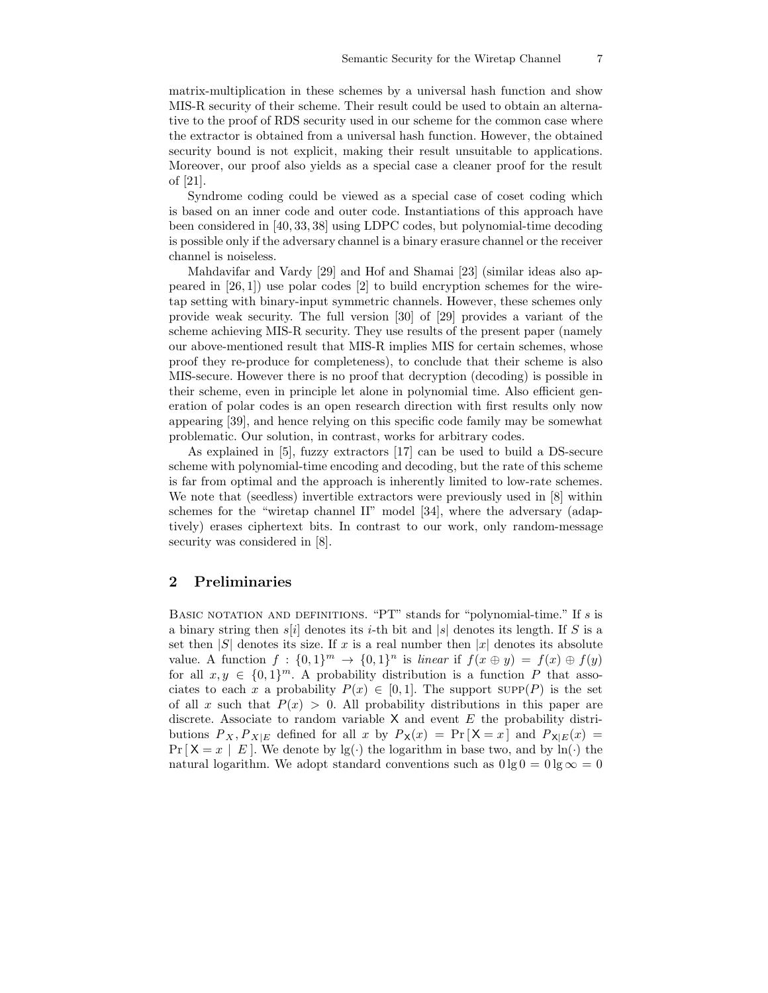matrix-multiplication in these schemes by a universal hash function and show MIS-R security of their scheme. Their result could be used to obtain an alternative to the proof of RDS security used in our scheme for the common case where the extractor is obtained from a universal hash function. However, the obtained security bound is not explicit, making their result unsuitable to applications. Moreover, our proof also yields as a special case a cleaner proof for the result of [21].

Syndrome coding could be viewed as a special case of coset coding which is based on an inner code and outer code. Instantiations of this approach have been considered in [40, 33, 38] using LDPC codes, but polynomial-time decoding is possible only if the adversary channel is a binary erasure channel or the receiver channel is noiseless.

Mahdavifar and Vardy [29] and Hof and Shamai [23] (similar ideas also appeared in [26, 1]) use polar codes [2] to build encryption schemes for the wiretap setting with binary-input symmetric channels. However, these schemes only provide weak security. The full version [30] of [29] provides a variant of the scheme achieving MIS-R security. They use results of the present paper (namely our above-mentioned result that MIS-R implies MIS for certain schemes, whose proof they re-produce for completeness), to conclude that their scheme is also MIS-secure. However there is no proof that decryption (decoding) is possible in their scheme, even in principle let alone in polynomial time. Also efficient generation of polar codes is an open research direction with first results only now appearing [39], and hence relying on this specific code family may be somewhat problematic. Our solution, in contrast, works for arbitrary codes.

As explained in [5], fuzzy extractors [17] can be used to build a DS-secure scheme with polynomial-time encoding and decoding, but the rate of this scheme is far from optimal and the approach is inherently limited to low-rate schemes. We note that (seedless) invertible extractors were previously used in [8] within schemes for the "wiretap channel II" model [34], where the adversary (adaptively) erases ciphertext bits. In contrast to our work, only random-message security was considered in [8].

## 2 Preliminaries

BASIC NOTATION AND DEFINITIONS. "PT" stands for "polynomial-time." If  $s$  is a binary string then  $s[i]$  denotes its i-th bit and |s| denotes its length. If S is a set then  $|S|$  denotes its size. If x is a real number then  $|x|$  denotes its absolute value. A function  $f: \{0,1\}^m \to \{0,1\}^n$  is linear if  $f(x \oplus y) = f(x) \oplus f(y)$ for all  $x, y \in \{0,1\}^m$ . A probability distribution is a function P that associates to each x a probability  $P(x) \in [0,1]$ . The support  $\text{supp}(P)$  is the set of all x such that  $P(x) > 0$ . All probability distributions in this paper are discrete. Associate to random variable  $X$  and event  $E$  the probability distributions  $P_X, P_{X|E}$  defined for all x by  $P_X(x) = Pr[X = x]$  and  $P_{X|E}(x) =$  $Pr[X = x | E]$ . We denote by  $lg(\cdot)$  the logarithm in base two, and by  $ln(\cdot)$  the natural logarithm. We adopt standard conventions such as  $0 \lg 0 = 0 \lg \infty = 0$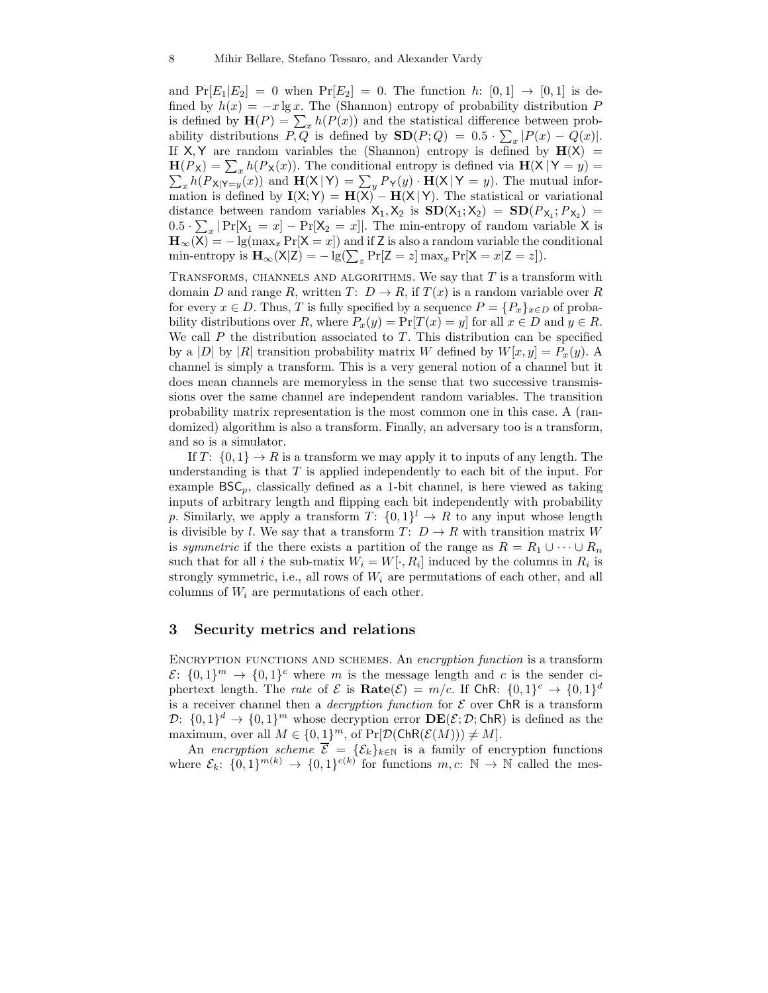and  $Pr[E_1|E_2] = 0$  when  $Pr[E_2] = 0$ . The function h:  $[0,1] \rightarrow [0,1]$  is defined by  $h(x) = -x \lg x$ . The (Shannon) entropy of probability distribution P is defined by  $\mathbf{H}(P) = \sum_{x} h(P(x))$  and the statistical difference between probability distributions  $P, Q$  is defined by  $\mathbf{SD}(P; Q) = 0.5 \cdot \sum_x |P(x) - Q(x)|$ . If  $X, Y$  are random variables the (Shannon) entropy is defined by  $H(X)$  =  $H(P_X) = \sum_x h(P_X(x))$ . The conditional entropy is defined via  $H(X|Y=y)$  $\sum_{x} h(P_{X|Y=y}(x))$  and  $\mathbf{H}(X|Y) = \sum_{y} P_{Y}(y) \cdot \mathbf{H}(X|Y = y)$ . The mutual information is defined by  $I(X; Y) = H(X) - H(X|Y)$ . The statistical or variational distance between random variables  $X_1, X_2$  is  $SD(X_1; X_2) = SD(P_{X_1}; P_{X_2}) =$  $0.5 \cdot \sum_x |\Pr[X_1 = x] - \Pr[X_2 = x]|$ . The min-entropy of random variable X is  $\mathbf{H}_{\infty}(\overline{X}) = -\lg(\max_x \Pr[X = x])$  and if Z is also a random variable the conditional min-entropy is  $\mathbf{H}_{\infty}(\mathsf{X}|\mathsf{Z}) = -\lg(\sum_{z} \Pr[\mathsf{Z} = z] \max_{x} \Pr[\mathsf{X} = x|\mathsf{Z} = z]).$ 

TRANSFORMS, CHANNELS AND ALGORITHMS. We say that  $T$  is a transform with domain D and range R, written  $T: D \to R$ , if  $T(x)$  is a random variable over R for every  $x \in D$ . Thus, T is fully specified by a sequence  $P = \{P_x\}_{x \in D}$  of probability distributions over R, where  $P_x(y) = \Pr[T(x) = y]$  for all  $x \in D$  and  $y \in R$ . We call  $P$  the distribution associated to  $T$ . This distribution can be specified by a |D| by |R| transition probability matrix W defined by  $W[x, y] = P_x(y)$ . A channel is simply a transform. This is a very general notion of a channel but it does mean channels are memoryless in the sense that two successive transmissions over the same channel are independent random variables. The transition probability matrix representation is the most common one in this case. A (randomized) algorithm is also a transform. Finally, an adversary too is a transform, and so is a simulator.

If T:  $\{0,1\} \rightarrow R$  is a transform we may apply it to inputs of any length. The understanding is that  $T$  is applied independently to each bit of the input. For example  $BSC_p$ , classically defined as a 1-bit channel, is here viewed as taking inputs of arbitrary length and flipping each bit independently with probability p. Similarly, we apply a transform  $T: \{0,1\}^l \to R$  to any input whose length is divisible by l. We say that a transform  $T: D \to R$  with transition matrix W is symmetric if the there exists a partition of the range as  $R = R_1 \cup \cdots \cup R_n$ such that for all *i* the sub-matix  $W_i = W[\cdot, R_i]$  induced by the columns in  $R_i$  is strongly symmetric, i.e., all rows of  $W_i$  are permutations of each other, and all columns of  $W_i$  are permutations of each other.

#### 3 Security metrics and relations

ENCRYPTION FUNCTIONS AND SCHEMES. An encryption function is a transform  $\mathcal{E}: \{0,1\}^m \to \{0,1\}^c$  where m is the message length and c is the sender ciphertext length. The *rate* of  $\mathcal E$  is  $\textbf{Rate}(\mathcal E) = m/c$ . If  $\textbf{ChR: } \{0,1\}^c \to \{0,1\}^d$ is a receiver channel then a *decryption function* for  $\mathcal E$  over ChR is a transform  $\mathcal{D}$ :  $\{0,1\}^d \to \{0,1\}^m$  whose decryption error  $\mathbf{DE}(\mathcal{E}; \mathcal{D}; \mathsf{ChR})$  is defined as the maximum, over all  $M \in \{0,1\}^m$ , of  $Pr[\mathcal{D}(\mathsf{ChR}(\mathcal{E}(M))) \neq M].$ 

An encryption scheme  $\mathcal{E} = {\{\mathcal{E}_k\}_{k\in\mathbb{N}}}$  is a family of encryption functions where  $\mathcal{E}_k$ :  $\{0,1\}^{m(k)} \to \{0,1\}^{c(k)}$  for functions  $m, c: \mathbb{N} \to \mathbb{N}$  called the mes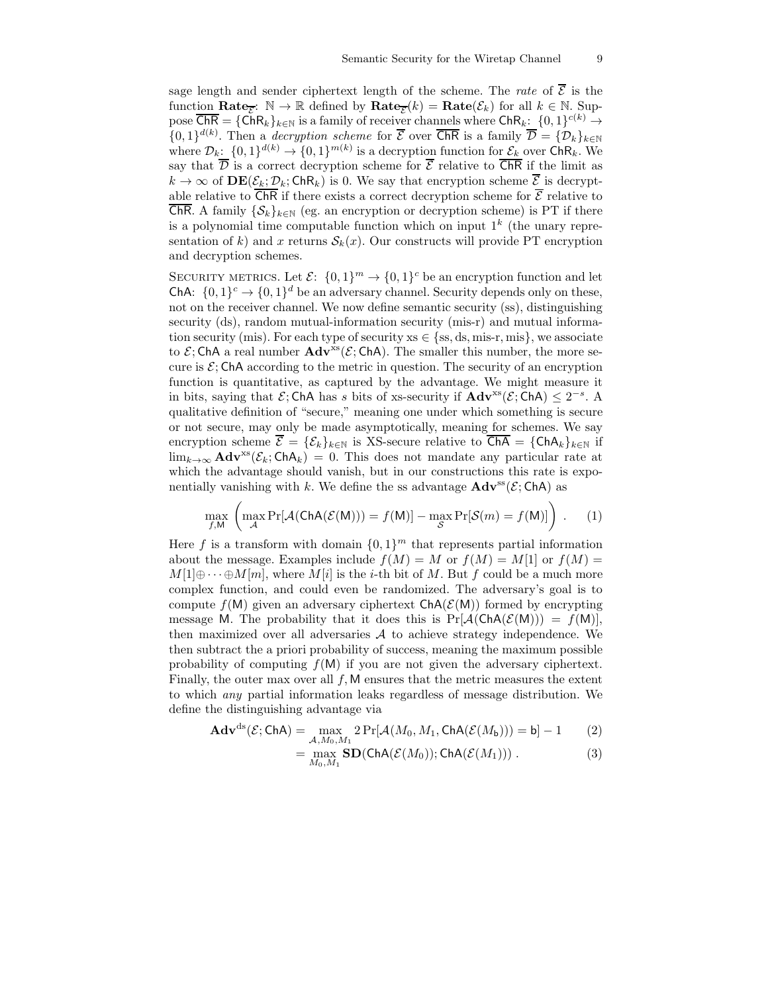sage length and sender ciphertext length of the scheme. The rate of  $\overline{\mathcal{E}}$  is the function  $\textbf{Rate}_{\overline{\mathcal{E}}}$ :  $\mathbb{N} \to \mathbb{R}$  defined by  $\textbf{Rate}_{\overline{\mathcal{E}}}(k) = \textbf{Rate}(\mathcal{E}_k)$  for all  $k \in \mathbb{N}$ . Suppose  $\overline{\textsf{ChR}} = \{\textsf{ChR}_k\}_{k\in\mathbb{N}}$  is a family of receiver channels where  $\textsf{ChR}_k: \{0,1\}^{c(k)} \to$  $\{0,1\}^{d(k)}$ . Then a *decryption scheme* for  $\overline{\mathcal{E}}$  over  $\overline{\mathsf{ChR}}$  is a family  $\overline{\mathcal{D}} = {\{\mathcal{D}_k\}}_{k\in\mathbb{N}}$ where  $\mathcal{D}_k$ :  $\{0,1\}^{d(k)} \to \{0,1\}^{m(k)}$  is a decryption function for  $\mathcal{E}_k$  over ChR<sub>k</sub>. We say that  $\overline{\mathcal{D}}$  is a correct decryption scheme for  $\overline{\mathcal{E}}$  relative to  $\overline{\mathsf{ChR}}$  if the limit as  $k \to \infty$  of  $\text{DE}(\mathcal{E}_k; \mathcal{D}_k; \text{ChR}_k)$  is 0. We say that encryption scheme  $\overline{\mathcal{E}}$  is decryptable relative to  $\overline{\text{ChR}}$  if there exists a correct decryption scheme for  $\overline{\mathcal{E}}$  relative to **ChR.** A family  $\{S_k\}_{k\in\mathbb{N}}$  (eg. an encryption or decryption scheme) is PT if there is a polynomial time computable function which on input  $1<sup>k</sup>$  (the unary representation of k) and x returns  $S_k(x)$ . Our constructs will provide PT encryption and decryption schemes.

SECURITY METRICS. Let  $\mathcal{E}$ :  $\{0,1\}^m \to \{0,1\}^c$  be an encryption function and let ChA:  $\{0,1\}^c \rightarrow \{0,1\}^d$  be an adversary channel. Security depends only on these, not on the receiver channel. We now define semantic security (ss), distinguishing security (ds), random mutual-information security (mis-r) and mutual information security (mis). For each type of security  $xs \in \{ss, ds, mis-r, mis\}$ , we associate to  $\mathcal{E}$ ; ChA a real number  $\mathbf{Adv}^{ss}(\mathcal{E};\mathsf{ChA})$ . The smaller this number, the more secure is  $\mathcal{E}$ ; ChA according to the metric in question. The security of an encryption function is quantitative, as captured by the advantage. We might measure it in bits, saying that  $\mathcal{E}$ ; ChA has s bits of xs-security if  $\mathbf{Adv}^{xs}(\mathcal{E}; \mathsf{ChA}) \leq 2^{-s}$ . A qualitative definition of "secure," meaning one under which something is secure or not secure, may only be made asymptotically, meaning for schemes. We say encryption scheme  $\overline{\mathcal{E}} = {\mathcal{E}_k}_{k \in \mathbb{N}}$  is XS-secure relative to  $\overline{\mathsf{ChA}} = {\mathsf{ChA}_k}_{k \in \mathbb{N}}$  if  $\lim_{k\to\infty}$  **Adv**<sup>xs</sup>( $\mathcal{E}_k$ ; ChA<sub>k</sub>) = 0. This does not mandate any particular rate at which the advantage should vanish, but in our constructions this rate is exponentially vanishing with k. We define the ss advantage  $\mathbf{Adv}^{\mathbf{ss}}(\mathcal{E};\mathsf{ChA})$  as

$$
\max_{f,M} \left( \max_{\mathcal{A}} \Pr[\mathcal{A}(\mathsf{ChA}(\mathcal{E}(M))) = f(M)] - \max_{\mathcal{S}} \Pr[\mathcal{S}(m) = f(M)] \right) . \tag{1}
$$

Here f is a transform with domain  $\{0,1\}^m$  that represents partial information about the message. Examples include  $f(M) = M$  or  $f(M) = M[1]$  or  $f(M) =$  $M[1] \oplus \cdots \oplus M[m]$ , where  $M[i]$  is the *i*-th bit of M. But f could be a much more complex function, and could even be randomized. The adversary's goal is to compute  $f(M)$  given an adversary ciphertext  $\text{ChA}(\mathcal{E}(M))$  formed by encrypting message M. The probability that it does this is  $Pr[\mathcal{A}(ChA(\mathcal{E}(M))) = f(M)],$ then maximized over all adversaries  $A$  to achieve strategy independence. We then subtract the a priori probability of success, meaning the maximum possible probability of computing  $f(M)$  if you are not given the adversary ciphertext. Finally, the outer max over all  $f$ , M ensures that the metric measures the extent to which any partial information leaks regardless of message distribution. We define the distinguishing advantage via

$$
\mathbf{Adv}^{\mathrm{ds}}(\mathcal{E};\mathsf{ChA}) = \max_{\mathcal{A},M_0,M_1} 2\Pr[\mathcal{A}(M_0,M_1,\mathsf{ChA}(\mathcal{E}(M_{\mathsf{b}}))) = \mathsf{b}] - 1 \tag{2}
$$

$$
= \max_{M_0, M_1} SD(ChA(\mathcal{E}(M_0)); ChA(\mathcal{E}(M_1))) . \tag{3}
$$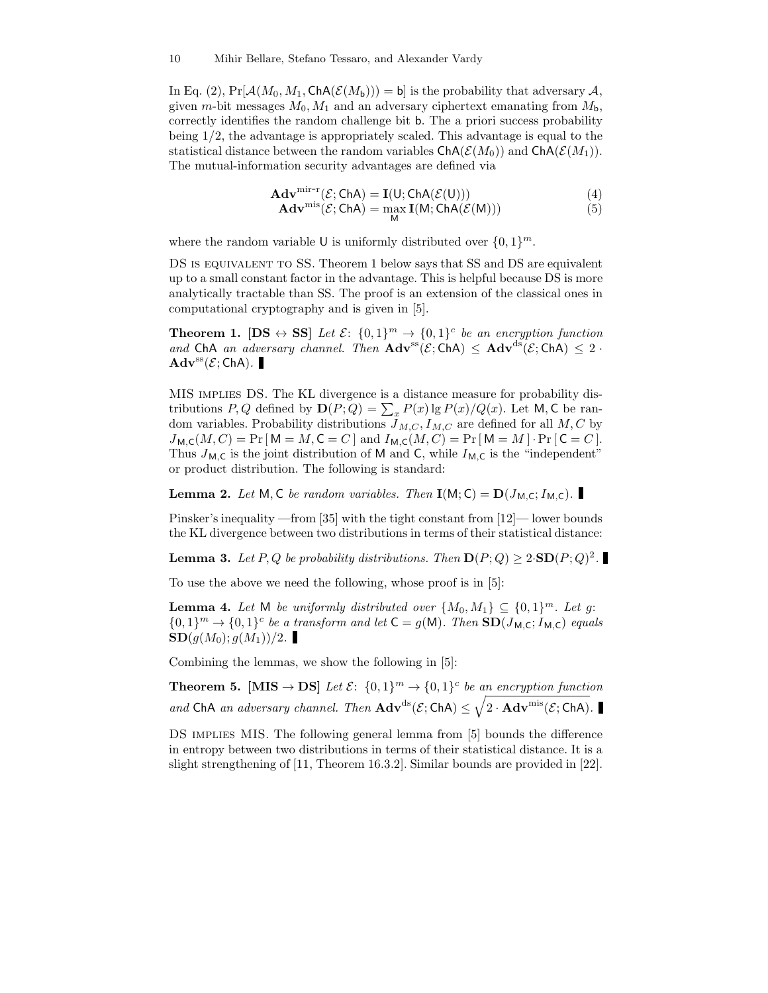In Eq. (2),  $Pr[\mathcal{A}(M_0, M_1, Ch\mathcal{A}(\mathcal{E}(M_b))) = b]$  is the probability that adversary  $\mathcal{A}$ , given m-bit messages  $M_0$ ,  $M_1$  and an adversary ciphertext emanating from  $M_b$ , correctly identifies the random challenge bit b. The a priori success probability being  $1/2$ , the advantage is appropriately scaled. This advantage is equal to the statistical distance between the random variables  $\text{ChA}(\mathcal{E}(M_0))$  and  $\text{ChA}(\mathcal{E}(M_1))$ . The mutual-information security advantages are defined via

$$
\mathbf{Adv}^{\text{mir-r}}(\mathcal{E}; \text{ChA}) = \mathbf{I}(U; \text{ChA}(\mathcal{E}(U)))
$$
\n
$$
\mathbf{Adv}^{\text{mis}}(\mathcal{E}; \text{ChA}) = \max_{M} \mathbf{I}(M; \text{ChA}(\mathcal{E}(M)))
$$
\n(4)

where the random variable U is uniformly distributed over  $\{0,1\}^m$ .

DS is equivalent to SS. Theorem 1 below says that SS and DS are equivalent up to a small constant factor in the advantage. This is helpful because DS is more analytically tractable than SS. The proof is an extension of the classical ones in computational cryptography and is given in [5].

**Theorem 1.** [DS  $\leftrightarrow$  SS] Let  $\mathcal{E}$ :  $\{0,1\}^m \rightarrow \{0,1\}^c$  be an encryption function and ChA an adversary channel. Then  $\text{Adv}^{\text{ss}}(\mathcal{E}; \text{ChA}) \leq \text{Adv}^{\text{ds}}(\mathcal{E}; \text{ChA}) \leq 2$ .  $\mathbf{Adv}^{\mathrm{ss}}(\mathcal{E};\mathsf{ChA}).$ 

MIS implies DS. The KL divergence is a distance measure for probability distributions P, Q defined by  $\mathbf{D}(P;Q) = \sum_x P(x) \lg P(x) / Q(x)$ . Let M, C be random variables. Probability distributions  $J_{M,C}$ ,  $I_{M,C}$  are defined for all  $M, C$  by  $J_{\mathsf{M},\mathsf{C}}(M,C) = \Pr[\mathsf{M} = M,\mathsf{C} = C]$  and  $I_{\mathsf{M},\mathsf{C}}(M,C) = \Pr[\mathsf{M} = M] \cdot \Pr[\mathsf{C} = C]$ . Thus  $J_{\mathsf{M},\mathsf{C}}$  is the joint distribution of M and C, while  $I_{\mathsf{M},\mathsf{C}}$  is the "independent" or product distribution. The following is standard:

**Lemma 2.** Let M, C be random variables. Then  $I(M; C) = D(J_{M,C}; I_{M,C})$ .

Pinsker's inequality —from [35] with the tight constant from [12]— lower bounds the KL divergence between two distributions in terms of their statistical distance:

**Lemma 3.** Let P, Q be probability distributions. Then  $D(P; Q) \geq 2 \cdot SD(P; Q)^2$ .

To use the above we need the following, whose proof is in [5]:

**Lemma 4.** Let M be uniformly distributed over  $\{M_0, M_1\} \subseteq \{0, 1\}^m$ . Let g.  $\{0,1\}^m \to \{0,1\}^c$  be a transform and let  $C = g(M)$ . Then  $SD(J_{M,C}; I_{M,C})$  equals  $SD(g(M_0); g(M_1))/2$ .

Combining the lemmas, we show the following in [5]:

**Theorem 5.** [MIS  $\rightarrow$  DS] Let  $\mathcal{E}$ :  $\{0,1\}^m \rightarrow \{0,1\}^c$  be an encryption function and ChA an adversary channel. Then  $\mathbf{Adv}^{ds}(\mathcal{E};\mathsf{ChA}) \leq \sqrt{2 \cdot \mathbf{Adv}^{mis}(\mathcal{E};\mathsf{ChA})}.$ 

DS implies MIS. The following general lemma from [5] bounds the difference in entropy between two distributions in terms of their statistical distance. It is a slight strengthening of [11, Theorem 16.3.2]. Similar bounds are provided in [22].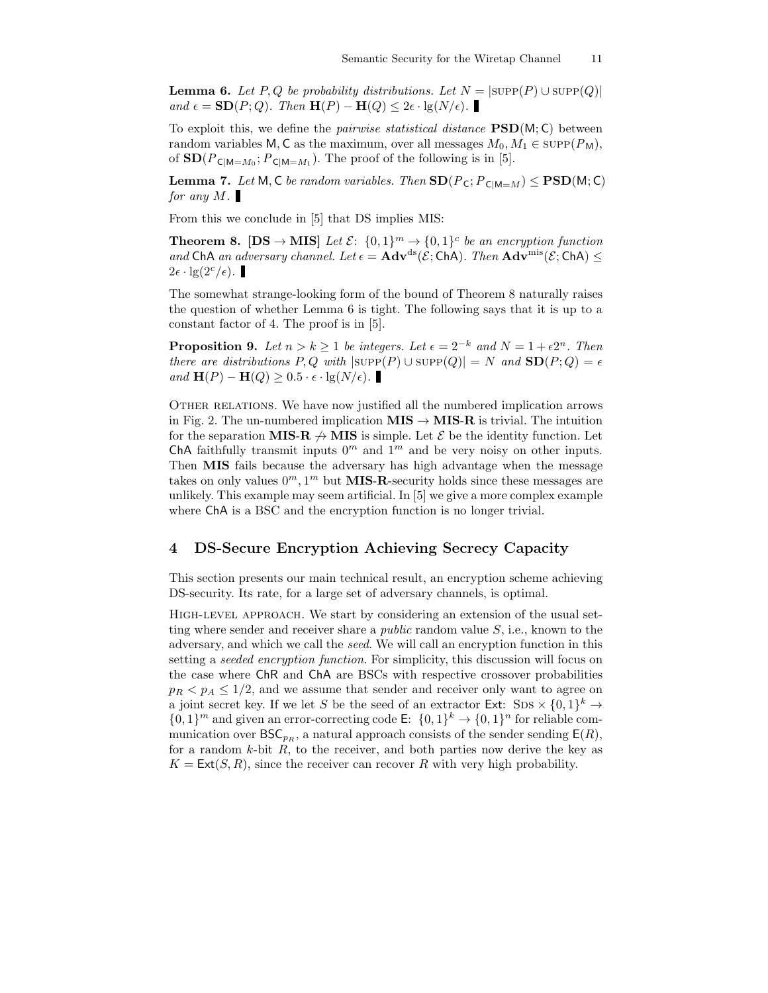**Lemma 6.** Let P, Q be probability distributions. Let  $N = |\text{supp}(P) \cup \text{supp}(Q)|$ and  $\epsilon = SD(P; Q)$ . Then  $H(P) - H(Q) \leq 2\epsilon \cdot lg(N/\epsilon)$ .

To exploit this, we define the *pairwise statistical distance*  $\text{PSD}(M; \mathsf{C})$  between random variables M, C as the maximum, over all messages  $M_0, M_1 \in \text{supp}(P_M)$ , of  $SD(P_{C|M=M_0}; P_{C|M=M_1})$ . The proof of the following is in [5].

**Lemma 7.** Let M, C be random variables. Then  $SD(P_C; P_{C|M=M}) \leq PSD(M; C)$ for any M.

From this we conclude in [5] that DS implies MIS:

**Theorem 8.** [DS  $\rightarrow$  MIS] Let  $\mathcal{E}$ :  $\{0,1\}^m \rightarrow \{0,1\}^c$  be an encryption function and ChA an adversary channel. Let  $\epsilon = \mathbf{Adv}^{ds}(\mathcal{E}; \mathsf{ChA})$ . Then  $\mathbf{Adv}^{mis}(\mathcal{E}; \mathsf{ChA})$  <  $2\epsilon \cdot \lg(2^c/\epsilon)$ .

The somewhat strange-looking form of the bound of Theorem 8 naturally raises the question of whether Lemma 6 is tight. The following says that it is up to a constant factor of 4. The proof is in [5].

**Proposition 9.** Let  $n > k \ge 1$  be integers. Let  $\epsilon = 2^{-k}$  and  $N = 1 + \epsilon 2^{n}$ . Then there are distributions P, Q with  $|\text{supp}(P) \cup \text{supp}(Q)| = N$  and  $SD(P; Q) = \epsilon$ and  $\mathbf{H}(P) - \mathbf{H}(Q) \geq 0.5 \cdot \epsilon \cdot \lg(N/\epsilon)$ .

OTHER RELATIONS. We have now justified all the numbered implication arrows in Fig. 2. The un-numbered implication  $MIS \to MIS-R$  is trivial. The intuition for the separation MIS-R  $\rightarrow$  MIS is simple. Let  $\mathcal E$  be the identity function. Let ChA faithfully transmit inputs  $0^m$  and  $1^m$  and be very noisy on other inputs. Then MIS fails because the adversary has high advantage when the message takes on only values  $0^m$ ,  $1^m$  but **MIS-R**-security holds since these messages are unlikely. This example may seem artificial. In [5] we give a more complex example where ChA is a BSC and the encryption function is no longer trivial.

#### 4 DS-Secure Encryption Achieving Secrecy Capacity

This section presents our main technical result, an encryption scheme achieving DS-security. Its rate, for a large set of adversary channels, is optimal.

High-level approach. We start by considering an extension of the usual setting where sender and receiver share a *public* random value  $S$ , i.e., known to the adversary, and which we call the seed. We will call an encryption function in this setting a seeded encryption function. For simplicity, this discussion will focus on the case where ChR and ChA are BSCs with respective crossover probabilities  $p_R < p_A \leq 1/2$ , and we assume that sender and receiver only want to agree on a joint secret key. If we let S be the seed of an extractor Ext:  $SDS \times \{0,1\}^k \rightarrow$  $\{0,1\}^m$  and given an error-correcting code E:  $\{0,1\}^k \to \{0,1\}^n$  for reliable communication over  $BSC_{pR}$ , a natural approach consists of the sender sending  $E(R)$ , for a random  $k$ -bit  $R$ , to the receiver, and both parties now derive the key as  $K = \text{Ext}(S, R)$ , since the receiver can recover R with very high probability.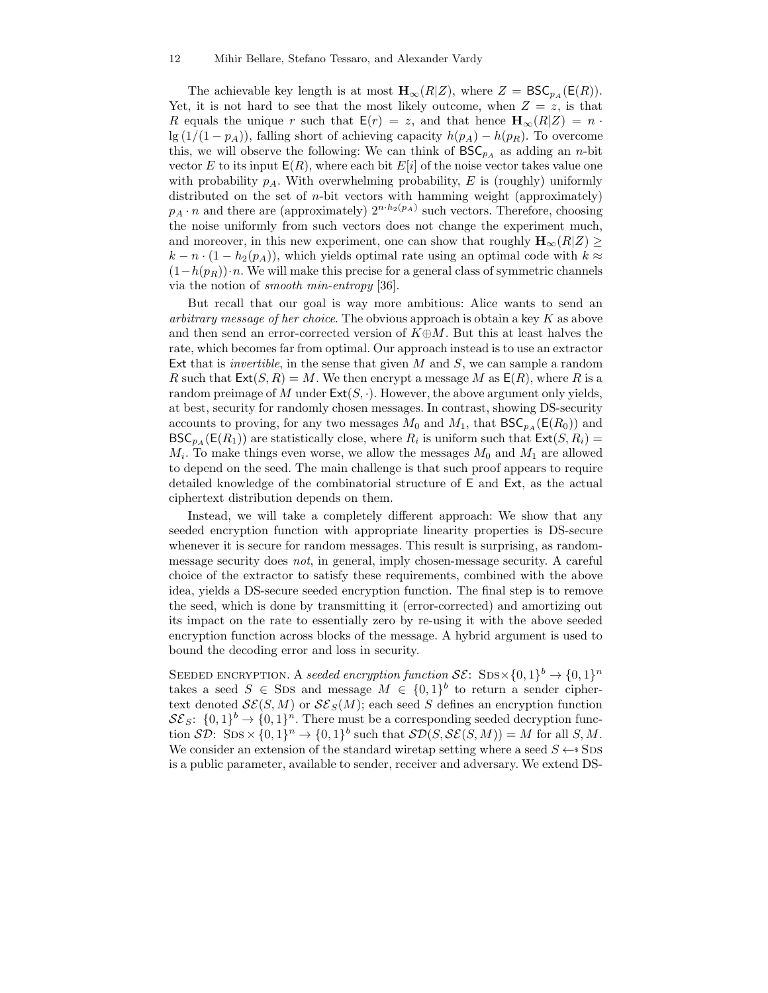The achievable key length is at most  $\mathbf{H}_{\infty}(R|Z)$ , where  $Z = BSC_{pA}(E(R))$ . Yet, it is not hard to see that the most likely outcome, when  $Z = z$ , is that R equals the unique r such that  $E(r) = z$ , and that hence  $H_{\infty}(R|Z) = n \cdot$  $\lg(1/(1-p_A))$ , falling short of achieving capacity  $h(p_A) - h(p_R)$ . To overcome this, we will observe the following: We can think of  $BSC_{pA}$  as adding an n-bit vector E to its input  $E(R)$ , where each bit  $E[i]$  of the noise vector takes value one with probability  $p_A$ . With overwhelming probability, E is (roughly) uniformly distributed on the set of  $n$ -bit vectors with hamming weight (approximately)  $p_A \cdot n$  and there are (approximately)  $2^{n \cdot h_2(p_A)}$  such vectors. Therefore, choosing the noise uniformly from such vectors does not change the experiment much, and moreover, in this new experiment, one can show that roughly  $\mathbf{H}_{\infty}(R|Z) \geq$  $k - n \cdot (1 - h_2(p_A))$ , which yields optimal rate using an optimal code with  $k \approx$  $(1-h(p_R))\cdot n$ . We will make this precise for a general class of symmetric channels via the notion of smooth min-entropy [36].

But recall that our goal is way more ambitious: Alice wants to send an arbitrary message of her choice. The obvious approach is obtain a key  $K$  as above and then send an error-corrected version of  $K \oplus M$ . But this at least halves the rate, which becomes far from optimal. Our approach instead is to use an extractor Ext that is *invertible*, in the sense that given  $M$  and  $S$ , we can sample a random R such that  $\textsf{Ext}(S, R) = M$ . We then encrypt a message M as  $\textsf{E}(R)$ , where R is a random preimage of M under  $\textsf{Ext}(S, \cdot)$ . However, the above argument only yields, at best, security for randomly chosen messages. In contrast, showing DS-security accounts to proving, for any two messages  $M_0$  and  $M_1$ , that  $BSC_{pA}(E(R_0))$  and  $BSC_{pA}(E(R_1))$  are statistically close, where  $R_i$  is uniform such that  $Ext(S, R_i) =$  $M_i$ . To make things even worse, we allow the messages  $M_0$  and  $M_1$  are allowed to depend on the seed. The main challenge is that such proof appears to require detailed knowledge of the combinatorial structure of E and Ext, as the actual ciphertext distribution depends on them.

Instead, we will take a completely different approach: We show that any seeded encryption function with appropriate linearity properties is DS-secure whenever it is secure for random messages. This result is surprising, as randommessage security does not, in general, imply chosen-message security. A careful choice of the extractor to satisfy these requirements, combined with the above idea, yields a DS-secure seeded encryption function. The final step is to remove the seed, which is done by transmitting it (error-corrected) and amortizing out its impact on the rate to essentially zero by re-using it with the above seeded encryption function across blocks of the message. A hybrid argument is used to bound the decoding error and loss in security.

SEEDED ENCRYPTION. A seeded encryption function  $\mathcal{SE}\colon \operatorname{SDS} \times \{0,1\}^b \to \{0,1\}^n$ takes a seed  $S \in \text{SDs}$  and message  $M \in \{0,1\}^b$  to return a sender ciphertext denoted  $\mathcal{SE}(S, M)$  or  $\mathcal{SE}_S(M)$ ; each seed S defines an encryption function  $S\mathcal{E}_S$ :  $\{0,1\}^b \rightarrow \{0,1\}^n$ . There must be a corresponding seeded decryption function  $\mathcal{SD}: \text{SDS} \times \{0,1\}^n \to \{0,1\}^b$  such that  $\mathcal{SD}(S, \mathcal{SE}(S, M)) = M$  for all  $S, M$ . We consider an extension of the standard wiretap setting where a seed  $S \leftarrow$ \$ SDS is a public parameter, available to sender, receiver and adversary. We extend DS-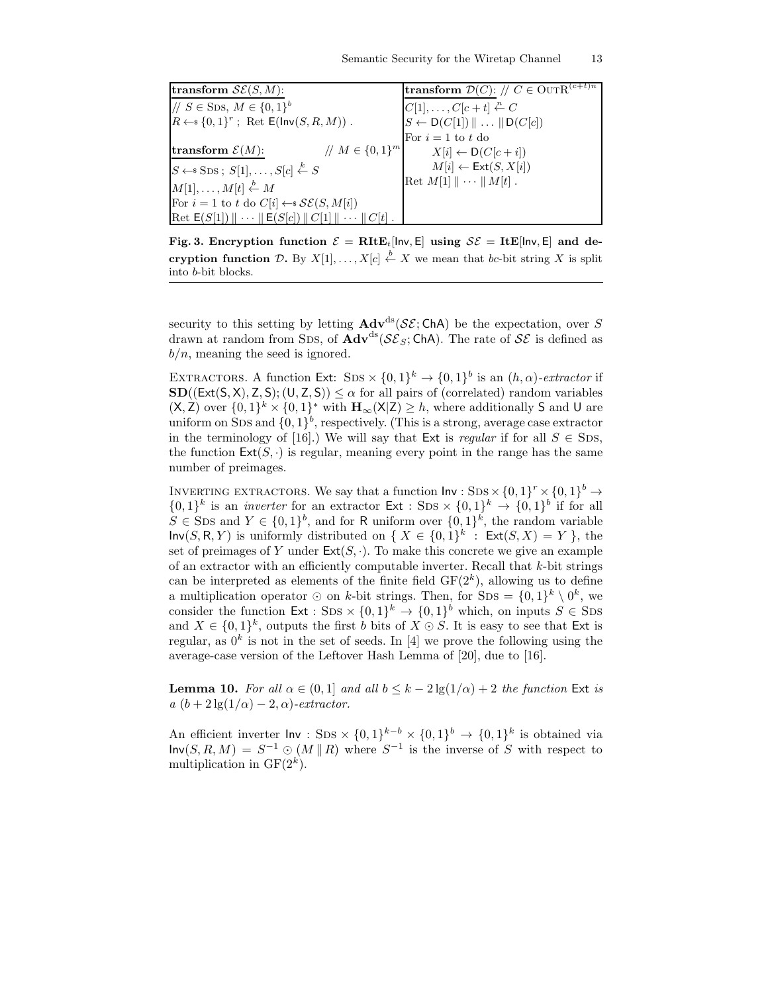| transform $\mathcal{SE}(S, M)$ :                                                                          | <b>transform</b> $\mathcal{D}(C)$ : // $C \in \text{OUTR}^{(c+t)n}$ |
|-----------------------------------------------------------------------------------------------------------|---------------------------------------------------------------------|
| // $S \in$ Sps, $M \in \{0,1\}^b$                                                                         | $C[1], \ldots, C[c+t] \stackrel{n}{\leftarrow} C$                   |
| $R \leftarrow \{0,1\}^r$ ; Ret $\mathsf{E}(\mathsf{Inv}(S,R,M))$ .                                        | $S \leftarrow D(C[1]) \parallel \ldots \parallel D(C[c])$           |
|                                                                                                           | For $i=1$ to t do                                                   |
| // $M \in \{0,1\}^m$<br>transform $\mathcal{E}(M)$ :                                                      | $X[i] \leftarrow D(C[c+i])$                                         |
| $S \leftarrow$ SDS; $S[1], \ldots, S[c] \stackrel{k}{\leftarrow} S$                                       | $M[i] \leftarrow \text{Ext}(S, X[i])$                               |
| $M[1], \ldots, M[t] \stackrel{b}{\leftarrow} M$                                                           | Ret $M[1]    \cdots    M[t]$ .                                      |
| For $i = 1$ to t do $C[i] \leftarrow \mathcal{SE}(S, M[i])$                                               |                                                                     |
| $\text{Ret } E(S[1]) \parallel \cdots \parallel E(S[c]) \parallel C[1] \parallel \cdots \parallel C[t]$ . |                                                                     |

Fig. 3. Encryption function  $\mathcal{E} = R I t E_t$ [lnv, E] using  $\mathcal{S} \mathcal{E} = I t E$ [lnv, E] and decryption function D. By  $X[1], \ldots, X[c] \stackrel{b}{\leftarrow} X$  we mean that bc-bit string X is split into b-bit blocks.

security to this setting by letting  $\mathbf{Adv}^{ds}(\mathcal{SE};\mathsf{ChA})$  be the expectation, over S drawn at random from SDS, of  $\mathbf{Adv}^{ds}(\mathcal{S}\mathcal{E}_S; \mathsf{ChA})$ . The rate of  $\mathcal{S}\mathcal{E}$  is defined as  $b/n$ , meaning the seed is ignored.

EXTRACTORS. A function Ext: SDS  $\times \{0,1\}^k \rightarrow \{0,1\}^b$  is an  $(h,\alpha)$ -extractor if  $SD((Ext(S, X), Z, S); (U, Z, S)) \leq \alpha$  for all pairs of (correlated) random variables  $(X, \mathsf{Z})$  over  $\{0,1\}^k \times \{0,1\}^*$  with  $\mathbf{H}_{\infty}(X|\mathsf{Z}) \geq h$ , where additionally S and U are uniform on SDS and  $\{0,1\}^b$ , respectively. (This is a strong, average case extractor in the terminology of [16].) We will say that Ext is *regular* if for all  $S \in$  SDS, the function  $\text{Ext}(S, \cdot)$  is regular, meaning every point in the range has the same number of preimages.

INVERTING EXTRACTORS. We say that a function  $\mathsf{Inv}: \text{SDS} \times \{0,1\}^r \times \{0,1\}^b \to$  $\{0,1\}^k$  is an *inverter* for an extractor  $\textsf{Ext} : \text{SDS} \times \{0,1\}^k \to \{0,1\}^b$  if for all  $S \in \text{SDS}$  and  $Y \in \{0,1\}^b$ , and for R uniform over  $\{0,1\}^k$ , the random variable  $\textsf{Inv}(S, R, Y)$  is uniformly distributed on  $\{X \in \{0,1\}^k : \textsf{Ext}(S, X) = Y\}$ , the set of preimages of Y under  $\text{Ext}(S, \cdot)$ . To make this concrete we give an example of an extractor with an efficiently computable inverter. Recall that  $k$ -bit strings can be interpreted as elements of the finite field  $GF(2<sup>k</sup>)$ , allowing us to define a multiplication operator  $\odot$  on k-bit strings. Then, for SDS =  $\{0,1\}^k \setminus 0^k$ , we consider the function  $Ext : SDS \times \{0,1\}^k \to \{0,1\}^b$  which, on inputs  $S \in SDS$ and  $X \in \{0,1\}^k$ , outputs the first b bits of  $X \odot S$ . It is easy to see that Ext is regular, as  $0^k$  is not in the set of seeds. In [4] we prove the following using the average-case version of the Leftover Hash Lemma of [20], due to [16].

**Lemma 10.** For all  $\alpha \in (0,1]$  and all  $b \leq k-2\lg(1/\alpha) + 2$  the function Ext is a  $(b + 2 \lg(1/\alpha) - 2, \alpha)$ -extractor.

An efficient inverter  $\text{Inv}: \text{SDS} \times \{0,1\}^{k-b} \times \{0,1\}^b \rightarrow \{0,1\}^k$  is obtained via  $\mathsf{Inv}(S, R, M) = S^{-1} \odot (M \parallel R)$  where  $S^{-1}$  is the inverse of S with respect to multiplication in  $GF(2<sup>k</sup>)$ .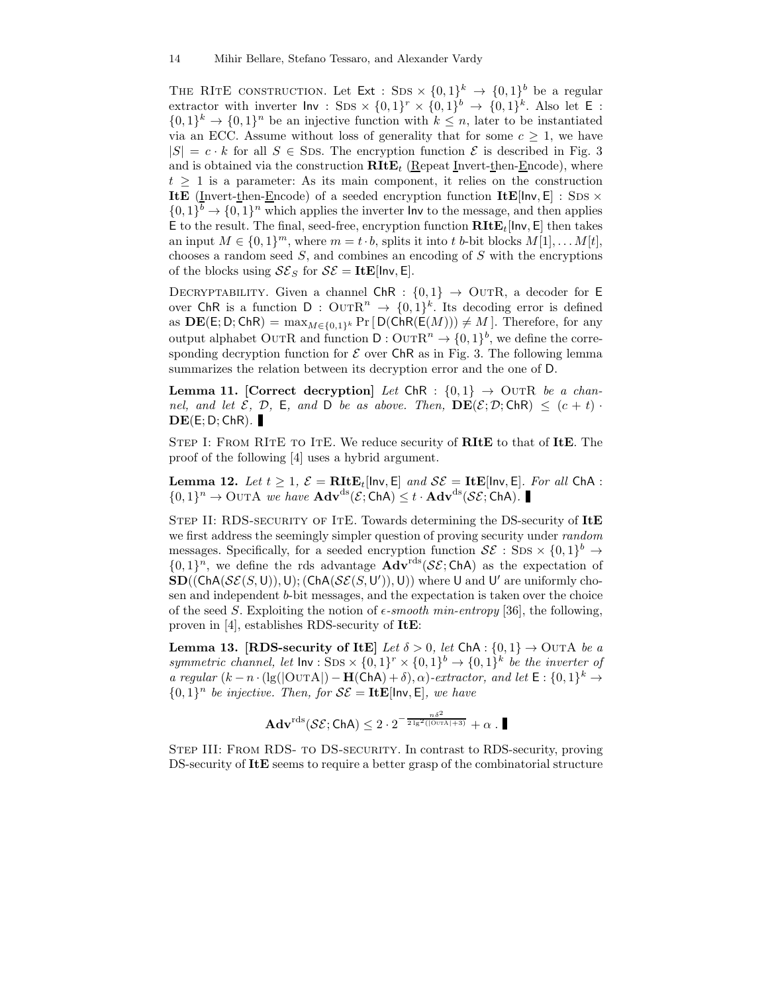THE RITE CONSTRUCTION. Let  $Ext : SDS \times \{0,1\}^k \rightarrow \{0,1\}^b$  be a regular extractor with inverter  $\mathsf{Inv}:$  SDS  $\times \{0,1\}^r \times \{0,1\}^b \to \{0,1\}^k$ . Also let  $\mathsf{E}:$  $\{0,1\}^k \to \{0,1\}^n$  be an injective function with  $k \leq n$ , later to be instantiated via an ECC. Assume without loss of generality that for some  $c \geq 1$ , we have  $|S| = c \cdot k$  for all  $S \in$  SDs. The encryption function  $\mathcal E$  is described in Fig. 3 and is obtained via the construction  $\textbf{RItE}_t$  (Repeat Invert-then-Encode), where  $t \geq 1$  is a parameter: As its main component, it relies on the construction ItE (Invert-then-Encode) of a seeded encryption function ItE[ $\mathsf{Inv}, \mathsf{E}$ ] : SDs  $\times$  $\{0,1\}$ <sup>b</sup>  $\rightarrow \{0,1\}$ <sup>n</sup> which applies the inverter lnv to the message, and then applies E to the result. The final, seed-free, encryption function  $\textbf{RItE}_t$ [lnv, E] then takes an input  $M \in \{0,1\}^m$ , where  $m = t \cdot b$ , splits it into t b-bit blocks  $M[1], \ldots M[t]$ , chooses a random seed  $S$ , and combines an encoding of  $S$  with the encryptions of the blocks using  $\mathcal{S}\mathcal{E}_S$  for  $\mathcal{S}\mathcal{E} = \text{ItE}$ [lnv, E].

DECRYPTABILITY. Given a channel ChR :  ${0,1}$   $\rightarrow$  OUTR, a decoder for E over ChR is a function  $D:$  OUTR<sup>n</sup>  $\rightarrow$   $\{0,1\}^k$ . Its decoding error is defined as  $\text{DE}(\mathsf{E}; \mathsf{D}; \mathsf{ChR}) = \max_{M \in \{0,1\}^k} \Pr\left[\mathsf{D}(\mathsf{ChR}(\mathsf{E}(M))) \neq M\right]$ . Therefore, for any output alphabet OUTR and function  $D:$  OUTR<sup>n</sup>  $\rightarrow$   $\{0,1\}^b$ , we define the corresponding decryption function for  $\mathcal E$  over ChR as in Fig. 3. The following lemma summarizes the relation between its decryption error and the one of D.

**Lemma 11.** [Correct decryption] Let ChR :  $\{0,1\} \rightarrow$  OUTR be a channel, and let  $\mathcal{E}, \mathcal{D}, \mathsf{E},$  and  $\mathsf{D}$  be as above. Then,  $\mathbf{DE}(\mathcal{E}; \mathcal{D}; \mathsf{ChR}) \leq (c + t)$ .  $DE(E; D; ChR)$ .

STEP I: FROM RITE TO ITE. We reduce security of **RITE** to that of ITE. The proof of the following [4] uses a hybrid argument.

**Lemma 12.** Let  $t \geq 1$ ,  $\mathcal{E} = \textbf{R} \textbf{It} \textbf{E}_{t}$ [lnv, E] and  $\mathcal{S} \mathcal{E} = \textbf{It} \textbf{E}$ [lnv, E]. For all ChA :  $\{0,1\}^n \to \text{OutA}$  we have  $\text{Adv}^{\text{ds}}(\mathcal{E};\text{ChA}) \leq t \cdot \text{Adv}^{\text{ds}}(\mathcal{SE};\text{ChA}).$ 

STEP II: RDS-SECURITY OF ITE. Towards determining the DS-security of ItE we first address the seemingly simpler question of proving security under random messages. Specifically, for a seeded encryption function  $\mathcal{SE}:$  SDS  $\times$   $\{0,1\}$ <sup>b</sup>  $\rightarrow$  $\{0,1\}^n$ , we define the rds advantage  $\text{Adv}^{\text{rds}}(\mathcal{SE};\text{ChA})$  as the expectation of  $\textbf{SD}((\textsf{ChA}(\mathcal{SE}(S, \mathsf{U})), \mathsf{U}); (\textsf{ChA}(\mathcal{SE}(S, \mathsf{U}')), \mathsf{U}))$  where U and U' are uniformly chosen and independent b-bit messages, and the expectation is taken over the choice of the seed S. Exploiting the notion of  $\epsilon$ -smooth min-entropy [36], the following, proven in [4], establishes RDS-security of ItE:

Lemma 13. [RDS-security of ItE] Let  $\delta > 0$ , let ChA :  $\{0,1\} \rightarrow$  OUTA be a symmetric channel, let  $Inv : SDS \times \{0,1\}^r \times \{0,1\}^b \rightarrow \{0,1\}^k$  be the inverter of a regular  $(k - n \cdot (\lg(|\text{OUTA}|) - \textbf{H}(\text{ChA}) + \delta), \alpha)$ -extractor, and let  $E : \{0, 1\}^k \to$  $\{0,1\}^n$  be injective. Then, for  $\mathcal{SE} = \textbf{ItE}[\text{Inv}, \text{E}]$ , we have

 $\mathbf{Adv}^{\text{rds}}(\mathcal{SE};\mathsf{ChA})\leq 2\cdot 2^{-\frac{n\delta^2}{2\lg^2((\text{OvrA}|+3)}}+\alpha\;.$ 

Step III: From RDS- to DS-security. In contrast to RDS-security, proving DS-security of ItE seems to require a better grasp of the combinatorial structure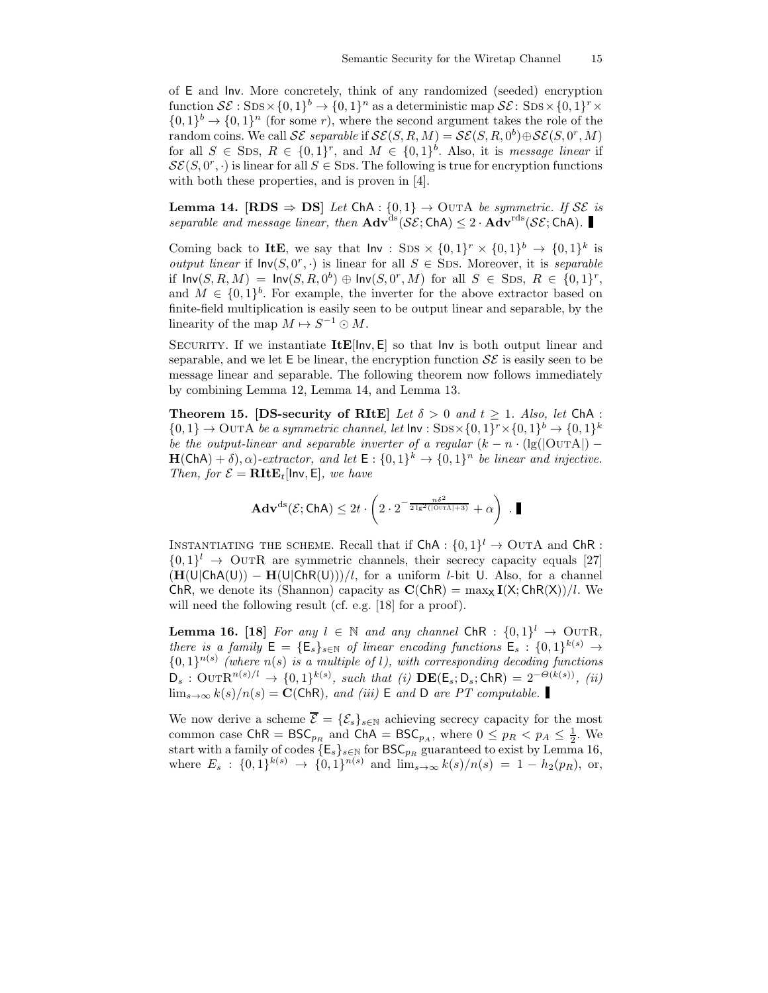of E and Inv. More concretely, think of any randomized (seeded) encryption function  $\mathcal{SE}: \text{SDS} \times \{0, 1\}^b \to \{0, 1\}^n$  as a deterministic map  $\mathcal{SE}: \text{SDS} \times \{0, 1\}^r \times$  $\{0,1\}^b \rightarrow \{0,1\}^n$  (for some r), where the second argument takes the role of the random coins. We call  $\mathcal{SE}$  separable if  $\mathcal{SE}(S, R, M) = \mathcal{SE}(S, R, 0^b) \oplus \mathcal{SE}(S, 0^r, M)$ for all  $S \in \text{SDs}, R \in \{0,1\}^r$ , and  $M \in \{0,1\}^b$ . Also, it is *message linear* if  $\mathcal{SE}(S, 0^r, \cdot)$  is linear for all  $S \in \text{SDS}$ . The following is true for encryption functions with both these properties, and is proven in [4].

**Lemma 14.** [RDS  $\Rightarrow$  DS] Let ChA : {0,1}  $\rightarrow$  OUTA be symmetric. If SE is separable and message linear, then  $\text{Adv}^{\text{ds}}(\mathcal{SE}; \text{ChA}) \leq 2 \cdot \text{Adv}^{\text{rds}}(\mathcal{SE}; \text{ChA})$ .

Coming back to ItE, we say that  $\mathsf{Inv}:$  SDS  $\times \{0,1\}^r \times \{0,1\}^b \to \{0,1\}^k$  is output linear if  $\mathsf{Inv}(S, 0^r, \cdot)$  is linear for all  $S \in \text{SDS}$ . Moreover, it is separable if  $\mathsf{Inv}(S, R, M) = \mathsf{Inv}(S, R, 0^b) \oplus \mathsf{Inv}(S, 0^r, M)$  for all  $S \in \text{SDS}, R \in \{0, 1\}^r$ , and  $M \in \{0,1\}^b$ . For example, the inverter for the above extractor based on finite-field multiplication is easily seen to be output linear and separable, by the linearity of the map  $M \mapsto S^{-1} \odot M$ .

SECURITY. If we instantiate  $\text{ItE}$ [ $\text{Inv}, \text{E}$ ] so that  $\text{Inv}$  is both output linear and separable, and we let  $E$  be linear, the encryption function  $\mathcal{SE}$  is easily seen to be message linear and separable. The following theorem now follows immediately by combining Lemma 12, Lemma 14, and Lemma 13.

Theorem 15. [DS-security of RItE] Let  $\delta > 0$  and  $t \ge 1$ . Also, let ChA:  $\{0,1\} \rightarrow$  OUTA be a symmetric channel, let  $\text{Inv}:$  SDS $\times$  $\{0,1\}^r \times \{0,1\}^b \rightarrow \{0,1\}^k$ be the output-linear and separable inverter of a regular  $(k - n \cdot (\lg(|\text{OurA}|) H(\mathsf{ChA}) + \delta), \alpha$ )-extractor, and let  $\mathsf{E} : \{0,1\}^k \to \{0,1\}^n$  be linear and injective. Then, for  $\mathcal{E} = \textbf{R} \textbf{It} \textbf{E}_t$ [lnv, E], we have

$$
\mathbf{Adv}^{\mathrm{ds}}(\mathcal{E};\mathsf{ChA}) \leq 2t \cdot \left(2 \cdot 2^{-\frac{n\delta^2}{2 \lg^2(|\mathrm{OUTA}|+3)}} + \alpha\right) \ . \ \blacksquare
$$

INSTANTIATING THE SCHEME. Recall that if  $\mathsf{ChA}:\{0,1\}^l\to\mathrm{OUTA}$  and  $\mathsf{ChR}$ :  $\{0,1\}$ <sup>l</sup>  $\rightarrow$  OUTR are symmetric channels, their secrecy capacity equals [27]  $(H(U|ChA(U)) - H(U|ChR(U)))/l$ , for a uniform *l*-bit U. Also, for a channel ChR, we denote its (Shannon) capacity as  $C(ChR) = \max_{X} I(X; ChR(X))/l$ . We will need the following result (cf. e.g. [18] for a proof).

**Lemma 16.** [18] For any  $l \in \mathbb{N}$  and any channel ChR :  $\{0,1\}^l \to \text{OUTR}$ , there is a family  $E = \{E_s\}_{s \in \mathbb{N}}$  of linear encoding functions  $E_s : \{0,1\}^{k(s)} \to$  ${0,1}^{n(s)}$  (where  $n(s)$  is a multiple of l), with corresponding decoding functions  $D_s: \text{OUTR}^{n(s)/l} \rightarrow \{0,1\}^{k(s)}, \text{ such that (i) DE(E_s; D_s; ChR) = 2^{-\Theta(k(s))}, (ii)$  $\lim_{s\to\infty} k(s)/n(s) = \mathbf{C}(\mathsf{ChR})$ , and (iii) E and D are PT computable.

We now derive a scheme  $\overline{\mathcal{E}} = {\mathcal{E}_s}_{s \in \mathbb{N}}$  achieving secrecy capacity for the most common case  $\text{ChR} = \text{BSC}_{pR}$  and  $\text{ChA} = \text{BSC}_{pA}$ , where  $0 \leq p_R < p_A \leq \frac{1}{2}$ . We start with a family of codes  $\{E_s\}_{s\in\mathbb{N}}$  for  $BSC_{p_R}$  guaranteed to exist by Lemma 16, where  $E_s: \{0,1\}^{k(s)} \to \{0,1\}^{n(s)}$  and  $\lim_{s\to\infty} k(s)/n(s) = 1 - h_2(p_R)$ , or,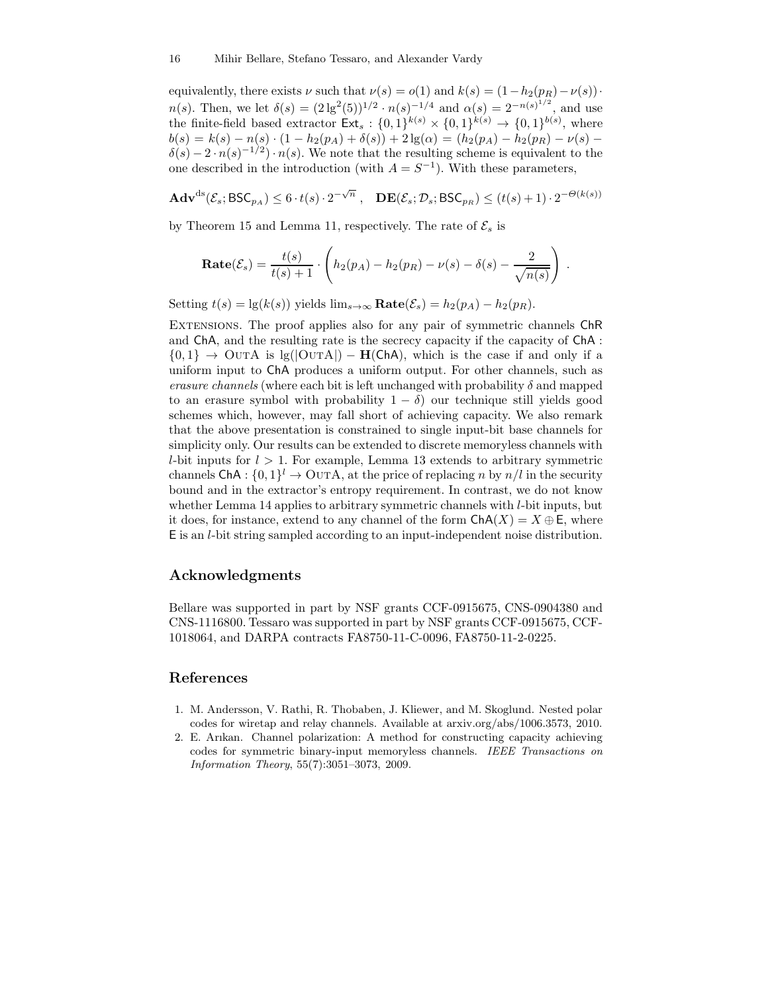equivalently, there exists  $\nu$  such that  $\nu(s) = o(1)$  and  $k(s) = (1-h_2(p_R)-\nu(s))$ . n(s). Then, we let  $\delta(s) = (2 \lg^2(5))^{1/2} \cdot n(s)^{-1/4}$  and  $\alpha(s) = 2^{-n(s)^{1/2}}$ , and use the finite-field based extractor  $\text{Ext}_s: \{0,1\}^{k(s)} \times \{0,1\}^{k(s)} \to \{0,1\}^{b(s)}$ , where  $b(s) = k(s) - n(s) \cdot (1 - h_2(p_A) + \delta(s)) + 2 \lg(\alpha) = (h_2(p_A) - h_2(p_B) - \nu(s))$  $\delta(s) - 2 \cdot n(s)^{-1/2} \cdot n(s)$ . We note that the resulting scheme is equivalent to the one described in the introduction (with  $A = S^{-1}$ ). With these parameters,

$$
\mathbf{Adv}^{\mathrm{ds}}(\mathcal{E}_s; \mathsf{BSC}_{p_A}) \le 6 \cdot t(s) \cdot 2^{-\sqrt{n}} , \quad \mathbf{DE}(\mathcal{E}_s; \mathcal{D}_s; \mathsf{BSC}_{p_B}) \le (t(s) + 1) \cdot 2^{-\Theta(k(s))}
$$

by Theorem 15 and Lemma 11, respectively. The rate of  $\mathcal{E}_s$  is

**Rate**
$$
(\mathcal{E}_s)
$$
 =  $\frac{t(s)}{t(s) + 1} \cdot \left( h_2(p_A) - h_2(p_R) - \nu(s) - \delta(s) - \frac{2}{\sqrt{n(s)}} \right)$ .

Setting  $t(s) = \lg(k(s))$  yields  $\lim_{s\to\infty} \textbf{Rate}(\mathcal{E}_s) = h_2(p_A) - h_2(p_B)$ .

Extensions. The proof applies also for any pair of symmetric channels ChR and ChA, and the resulting rate is the secrecy capacity if the capacity of ChA :  $\{0,1\} \rightarrow$  OUTA is lg(|OUTA|) – **H(ChA)**, which is the case if and only if a uniform input to ChA produces a uniform output. For other channels, such as erasure channels (where each bit is left unchanged with probability  $\delta$  and mapped to an erasure symbol with probability  $1 - \delta$ ) our technique still yields good schemes which, however, may fall short of achieving capacity. We also remark that the above presentation is constrained to single input-bit base channels for simplicity only. Our results can be extended to discrete memoryless channels with *l*-bit inputs for  $l > 1$ . For example, Lemma 13 extends to arbitrary symmetric channels ChA :  $\{0,1\}^l \to \text{OUTA}$ , at the price of replacing n by  $n/l$  in the security bound and in the extractor's entropy requirement. In contrast, we do not know whether Lemma 14 applies to arbitrary symmetric channels with *l*-bit inputs, but it does, for instance, extend to any channel of the form  $\text{ChA}(X) = X \oplus \mathsf{E}$ , where E is an l-bit string sampled according to an input-independent noise distribution.

## Acknowledgments

Bellare was supported in part by NSF grants CCF-0915675, CNS-0904380 and CNS-1116800. Tessaro was supported in part by NSF grants CCF-0915675, CCF-1018064, and DARPA contracts FA8750-11-C-0096, FA8750-11-2-0225.

# References

- 1. M. Andersson, V. Rathi, R. Thobaben, J. Kliewer, and M. Skoglund. Nested polar codes for wiretap and relay channels. Available at arxiv.org/abs/1006.3573, 2010.
- 2. E. Arıkan. Channel polarization: A method for constructing capacity achieving codes for symmetric binary-input memoryless channels. *IEEE Transactions on Information Theory*, 55(7):3051–3073, 2009.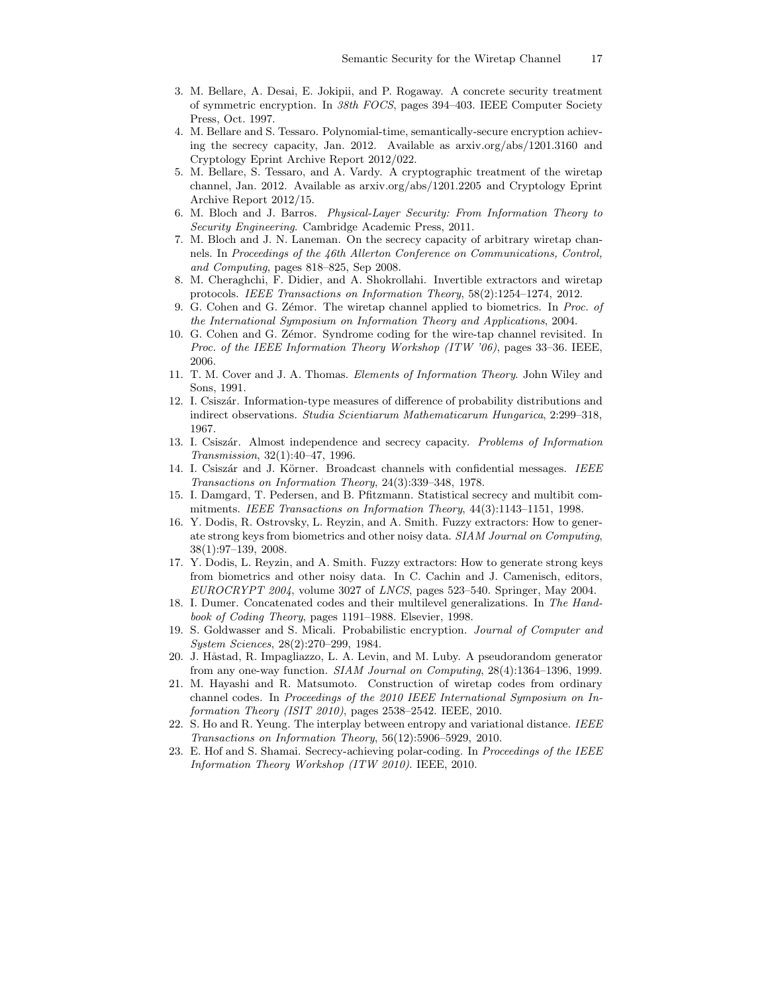- 3. M. Bellare, A. Desai, E. Jokipii, and P. Rogaway. A concrete security treatment of symmetric encryption. In *38th FOCS*, pages 394–403. IEEE Computer Society Press, Oct. 1997.
- 4. M. Bellare and S. Tessaro. Polynomial-time, semantically-secure encryption achieving the secrecy capacity, Jan. 2012. Available as arxiv.org/abs/1201.3160 and Cryptology Eprint Archive Report 2012/022.
- 5. M. Bellare, S. Tessaro, and A. Vardy. A cryptographic treatment of the wiretap channel, Jan. 2012. Available as arxiv.org/abs/1201.2205 and Cryptology Eprint Archive Report 2012/15.
- 6. M. Bloch and J. Barros. *Physical-Layer Security: From Information Theory to Security Engineering*. Cambridge Academic Press, 2011.
- 7. M. Bloch and J. N. Laneman. On the secrecy capacity of arbitrary wiretap channels. In *Proceedings of the 46th Allerton Conference on Communications, Control, and Computing*, pages 818–825, Sep 2008.
- 8. M. Cheraghchi, F. Didier, and A. Shokrollahi. Invertible extractors and wiretap protocols. *IEEE Transactions on Information Theory*, 58(2):1254–1274, 2012.
- 9. G. Cohen and G. Z´emor. The wiretap channel applied to biometrics. In *Proc. of the International Symposium on Information Theory and Applications*, 2004.
- 10. G. Cohen and G. Zemor. Syndrome coding for the wire-tap channel revisited. In *Proc. of the IEEE Information Theory Workshop (ITW '06)*, pages 33–36. IEEE, 2006.
- 11. T. M. Cover and J. A. Thomas. *Elements of Information Theory*. John Wiley and Sons, 1991.
- 12. I. Csisz´ar. Information-type measures of difference of probability distributions and indirect observations. *Studia Scientiarum Mathematicarum Hungarica*, 2:299–318, 1967.
- 13. I. Csisz´ar. Almost independence and secrecy capacity. *Problems of Information Transmission*, 32(1):40–47, 1996.
- 14. I. Csiszár and J. Körner. Broadcast channels with confidential messages. *IEEE Transactions on Information Theory*, 24(3):339–348, 1978.
- 15. I. Damgard, T. Pedersen, and B. Pfitzmann. Statistical secrecy and multibit commitments. *IEEE Transactions on Information Theory*, 44(3):1143–1151, 1998.
- 16. Y. Dodis, R. Ostrovsky, L. Reyzin, and A. Smith. Fuzzy extractors: How to generate strong keys from biometrics and other noisy data. *SIAM Journal on Computing*, 38(1):97–139, 2008.
- 17. Y. Dodis, L. Reyzin, and A. Smith. Fuzzy extractors: How to generate strong keys from biometrics and other noisy data. In C. Cachin and J. Camenisch, editors, *EUROCRYPT 2004*, volume 3027 of *LNCS*, pages 523–540. Springer, May 2004.
- 18. I. Dumer. Concatenated codes and their multilevel generalizations. In *The Handbook of Coding Theory*, pages 1191–1988. Elsevier, 1998.
- 19. S. Goldwasser and S. Micali. Probabilistic encryption. *Journal of Computer and System Sciences*, 28(2):270–299, 1984.
- 20. J. Håstad, R. Impagliazzo, L. A. Levin, and M. Luby. A pseudorandom generator from any one-way function. *SIAM Journal on Computing*, 28(4):1364–1396, 1999.
- 21. M. Hayashi and R. Matsumoto. Construction of wiretap codes from ordinary channel codes. In *Proceedings of the 2010 IEEE International Symposium on Information Theory (ISIT 2010)*, pages 2538–2542. IEEE, 2010.
- 22. S. Ho and R. Yeung. The interplay between entropy and variational distance. *IEEE Transactions on Information Theory*, 56(12):5906–5929, 2010.
- 23. E. Hof and S. Shamai. Secrecy-achieving polar-coding. In *Proceedings of the IEEE Information Theory Workshop (ITW 2010)*. IEEE, 2010.